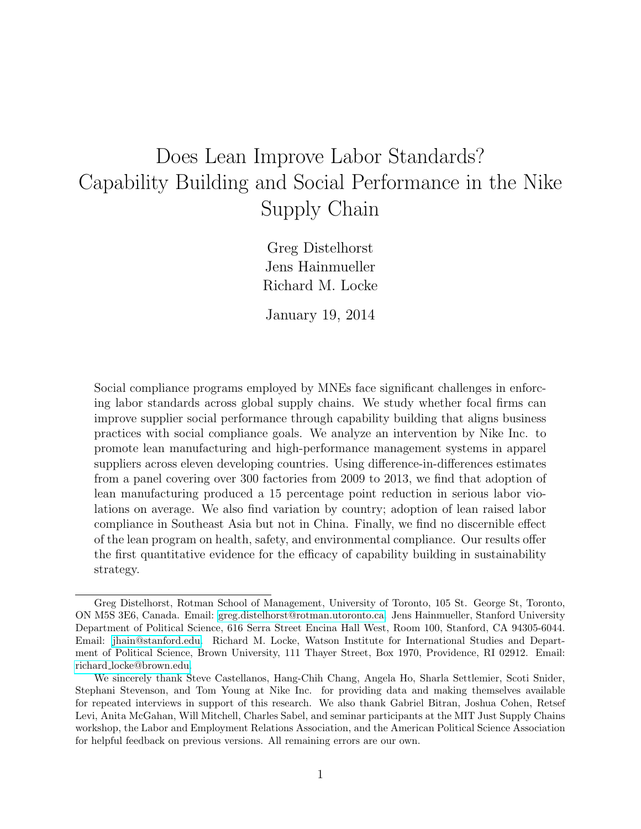# Does Lean Improve Labor Standards? Capability Building and Social Performance in the Nike Supply Chain

Greg Distelhorst Jens Hainmueller Richard M. Locke

January 19, 2014

Social compliance programs employed by MNEs face significant challenges in enforcing labor standards across global supply chains. We study whether focal firms can improve supplier social performance through capability building that aligns business practices with social compliance goals. We analyze an intervention by Nike Inc. to promote lean manufacturing and high-performance management systems in apparel suppliers across eleven developing countries. Using difference-in-differences estimates from a panel covering over 300 factories from 2009 to 2013, we find that adoption of lean manufacturing produced a 15 percentage point reduction in serious labor violations on average. We also find variation by country; adoption of lean raised labor compliance in Southeast Asia but not in China. Finally, we find no discernible effect of the lean program on health, safety, and environmental compliance. Our results offer the first quantitative evidence for the efficacy of capability building in sustainability strategy.

Greg Distelhorst, Rotman School of Management, University of Toronto, 105 St. George St, Toronto, ON M5S 3E6, Canada. Email: [greg.distelhorst@rotman.utoronto.ca.](mailto:greg.distelhorst@rotman.utoronto.ca) Jens Hainmueller, Stanford University Department of Political Science, 616 Serra Street Encina Hall West, Room 100, Stanford, CA 94305-6044. Email: [jhain@stanford.edu.](mailto:jhain@stanford.edu) Richard M. Locke, Watson Institute for International Studies and Department of Political Science, Brown University, 111 Thayer Street, Box 1970, Providence, RI 02912. Email: richard [locke@brown.edu.](mailto:richard_locke@brown.edu)

We sincerely thank Steve Castellanos, Hang-Chih Chang, Angela Ho, Sharla Settlemier, Scoti Snider, Stephani Stevenson, and Tom Young at Nike Inc. for providing data and making themselves available for repeated interviews in support of this research. We also thank Gabriel Bitran, Joshua Cohen, Retsef Levi, Anita McGahan, Will Mitchell, Charles Sabel, and seminar participants at the MIT Just Supply Chains workshop, the Labor and Employment Relations Association, and the American Political Science Association for helpful feedback on previous versions. All remaining errors are our own.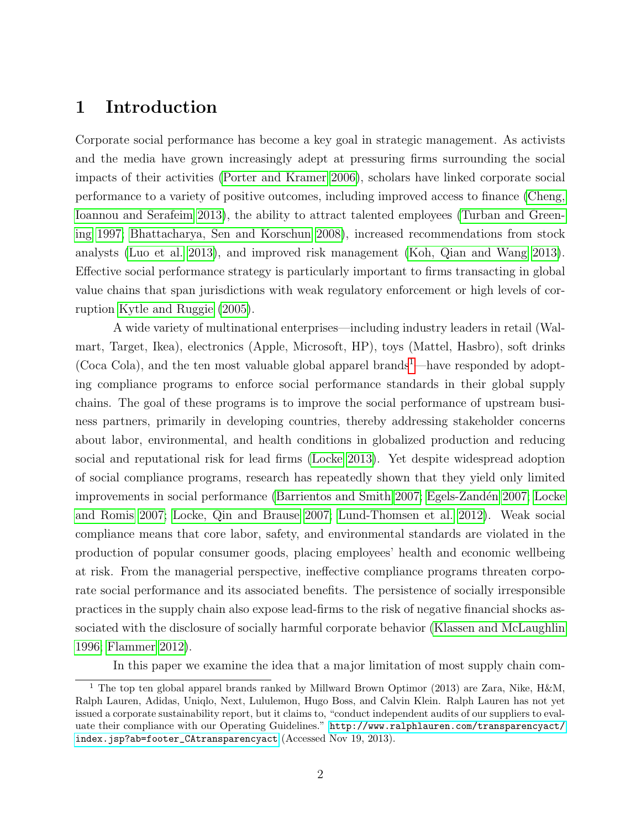# 1 Introduction

Corporate social performance has become a key goal in strategic management. As activists and the media have grown increasingly adept at pressuring firms surrounding the social impacts of their activities [\(Porter and Kramer 2006\)](#page-29-0), scholars have linked corporate social performance to a variety of positive outcomes, including improved access to finance [\(Cheng,](#page-26-0) [Ioannou and Serafeim 2013\)](#page-26-0), the ability to attract talented employees [\(Turban and Green](#page-29-1)[ing 1997;](#page-29-1) [Bhattacharya, Sen and Korschun 2008\)](#page-26-1), increased recommendations from stock analysts [\(Luo et al. 2013\)](#page-28-0), and improved risk management [\(Koh, Qian and Wang 2013\)](#page-27-0). Effective social performance strategy is particularly important to firms transacting in global value chains that span jurisdictions with weak regulatory enforcement or high levels of corruption [Kytle and Ruggie](#page-27-1) [\(2005\)](#page-27-1).

A wide variety of multinational enterprises—including industry leaders in retail (Walmart, Target, Ikea), electronics (Apple, Microsoft, HP), toys (Mattel, Hasbro), soft drinks (Coca Cola), and the ten most valuable global apparel brands<sup>[1](#page-1-0)</sup>—have responded by adopting compliance programs to enforce social performance standards in their global supply chains. The goal of these programs is to improve the social performance of upstream business partners, primarily in developing countries, thereby addressing stakeholder concerns about labor, environmental, and health conditions in globalized production and reducing social and reputational risk for lead firms [\(Locke 2013\)](#page-28-1). Yet despite widespread adoption of social compliance programs, research has repeatedly shown that they yield only limited improvements in social performance [\(Barrientos and Smith 2007;](#page-26-2) Egels-Zandén 2007; [Locke](#page-28-2) [and Romis 2007;](#page-28-2) [Locke, Qin and Brause 2007;](#page-28-3) [Lund-Thomsen et al. 2012\)](#page-28-4). Weak social compliance means that core labor, safety, and environmental standards are violated in the production of popular consumer goods, placing employees' health and economic wellbeing at risk. From the managerial perspective, ineffective compliance programs threaten corporate social performance and its associated benefits. The persistence of socially irresponsible practices in the supply chain also expose lead-firms to the risk of negative financial shocks associated with the disclosure of socially harmful corporate behavior [\(Klassen and McLaughlin](#page-27-2) [1996;](#page-27-2) [Flammer 2012\)](#page-26-4).

In this paper we examine the idea that a major limitation of most supply chain com-

<span id="page-1-0"></span><sup>&</sup>lt;sup>1</sup> The top ten global apparel brands ranked by Millward Brown Optimor (2013) are Zara, Nike, H&M, Ralph Lauren, Adidas, Uniqlo, Next, Lululemon, Hugo Boss, and Calvin Klein. Ralph Lauren has not yet issued a corporate sustainability report, but it claims to, "conduct independent audits of our suppliers to evaluate their compliance with our Operating Guidelines." [http://www.ralphlauren.com/transparencyact/](http://www.ralphlauren.com/transparencyact/index.jsp?ab=footer_CAtransparencyact) [index.jsp?ab=footer\\_CAtransparencyact](http://www.ralphlauren.com/transparencyact/index.jsp?ab=footer_CAtransparencyact) (Accessed Nov 19, 2013).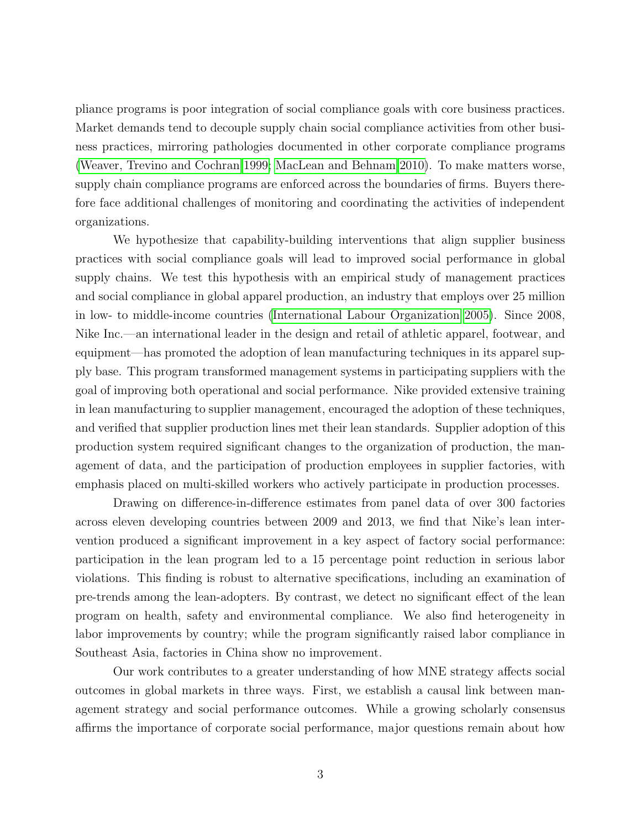pliance programs is poor integration of social compliance goals with core business practices. Market demands tend to decouple supply chain social compliance activities from other business practices, mirroring pathologies documented in other corporate compliance programs [\(Weaver, Trevino and Cochran 1999;](#page-29-2) [MacLean and Behnam 2010\)](#page-28-5). To make matters worse, supply chain compliance programs are enforced across the boundaries of firms. Buyers therefore face additional challenges of monitoring and coordinating the activities of independent organizations.

We hypothesize that capability-building interventions that align supplier business practices with social compliance goals will lead to improved social performance in global supply chains. We test this hypothesis with an empirical study of management practices and social compliance in global apparel production, an industry that employs over 25 million in low- to middle-income countries [\(International Labour Organization 2005\)](#page-27-3). Since 2008, Nike Inc.—an international leader in the design and retail of athletic apparel, footwear, and equipment—has promoted the adoption of lean manufacturing techniques in its apparel supply base. This program transformed management systems in participating suppliers with the goal of improving both operational and social performance. Nike provided extensive training in lean manufacturing to supplier management, encouraged the adoption of these techniques, and verified that supplier production lines met their lean standards. Supplier adoption of this production system required significant changes to the organization of production, the management of data, and the participation of production employees in supplier factories, with emphasis placed on multi-skilled workers who actively participate in production processes.

Drawing on difference-in-difference estimates from panel data of over 300 factories across eleven developing countries between 2009 and 2013, we find that Nike's lean intervention produced a significant improvement in a key aspect of factory social performance: participation in the lean program led to a 15 percentage point reduction in serious labor violations. This finding is robust to alternative specifications, including an examination of pre-trends among the lean-adopters. By contrast, we detect no significant effect of the lean program on health, safety and environmental compliance. We also find heterogeneity in labor improvements by country; while the program significantly raised labor compliance in Southeast Asia, factories in China show no improvement.

Our work contributes to a greater understanding of how MNE strategy affects social outcomes in global markets in three ways. First, we establish a causal link between management strategy and social performance outcomes. While a growing scholarly consensus affirms the importance of corporate social performance, major questions remain about how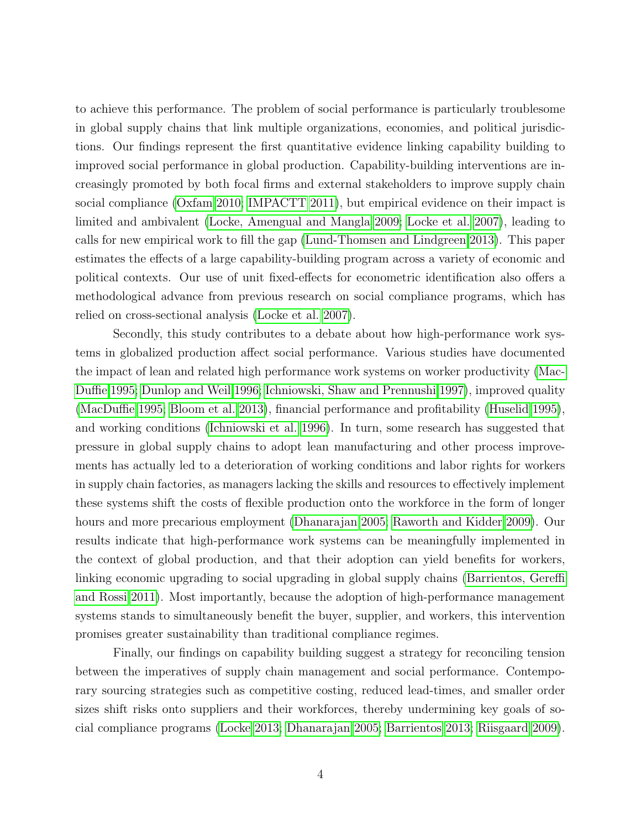to achieve this performance. The problem of social performance is particularly troublesome in global supply chains that link multiple organizations, economies, and political jurisdictions. Our findings represent the first quantitative evidence linking capability building to improved social performance in global production. Capability-building interventions are increasingly promoted by both focal firms and external stakeholders to improve supply chain social compliance [\(Oxfam 2010;](#page-28-6) [IMPACTT 2011\)](#page-27-4), but empirical evidence on their impact is limited and ambivalent [\(Locke, Amengual and Mangla 2009;](#page-27-5) [Locke et al. 2007\)](#page-28-7), leading to calls for new empirical work to fill the gap [\(Lund-Thomsen and Lindgreen 2013\)](#page-28-8). This paper estimates the effects of a large capability-building program across a variety of economic and political contexts. Our use of unit fixed-effects for econometric identification also offers a methodological advance from previous research on social compliance programs, which has relied on cross-sectional analysis [\(Locke et al. 2007\)](#page-28-7).

Secondly, this study contributes to a debate about how high-performance work systems in globalized production affect social performance. Various studies have documented the impact of lean and related high performance work systems on worker productivity [\(Mac-](#page-28-9)[Duffie 1995;](#page-28-9) [Dunlop and Weil 1996;](#page-26-5) [Ichniowski, Shaw and Prennushi 1997\)](#page-27-6), improved quality [\(MacDuffie 1995;](#page-28-9) [Bloom et al. 2013\)](#page-26-6), financial performance and profitability [\(Huselid 1995\)](#page-27-7), and working conditions [\(Ichniowski et al. 1996\)](#page-27-8). In turn, some research has suggested that pressure in global supply chains to adopt lean manufacturing and other process improvements has actually led to a deterioration of working conditions and labor rights for workers in supply chain factories, as managers lacking the skills and resources to effectively implement these systems shift the costs of flexible production onto the workforce in the form of longer hours and more precarious employment [\(Dhanarajan 2005;](#page-26-7) [Raworth and Kidder 2009\)](#page-29-3). Our results indicate that high-performance work systems can be meaningfully implemented in the context of global production, and that their adoption can yield benefits for workers, linking economic upgrading to social upgrading in global supply chains [\(Barrientos, Gereffi](#page-26-8) [and Rossi 2011\)](#page-26-8). Most importantly, because the adoption of high-performance management systems stands to simultaneously benefit the buyer, supplier, and workers, this intervention promises greater sustainability than traditional compliance regimes.

Finally, our findings on capability building suggest a strategy for reconciling tension between the imperatives of supply chain management and social performance. Contemporary sourcing strategies such as competitive costing, reduced lead-times, and smaller order sizes shift risks onto suppliers and their workforces, thereby undermining key goals of social compliance programs [\(Locke 2013;](#page-28-1) [Dhanarajan 2005;](#page-26-7) [Barrientos 2013;](#page-26-9) [Riisgaard 2009\)](#page-29-4).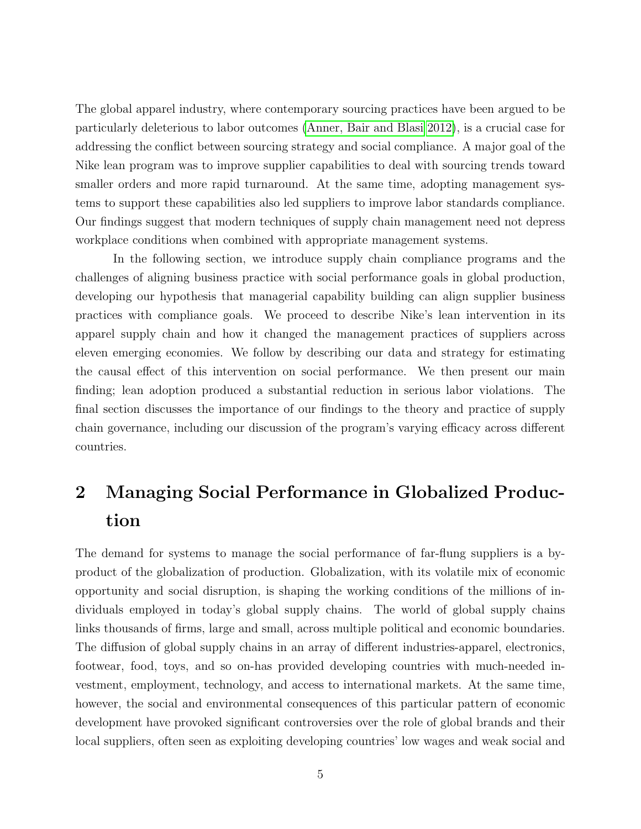The global apparel industry, where contemporary sourcing practices have been argued to be particularly deleterious to labor outcomes [\(Anner, Bair and Blasi 2012\)](#page-26-10), is a crucial case for addressing the conflict between sourcing strategy and social compliance. A major goal of the Nike lean program was to improve supplier capabilities to deal with sourcing trends toward smaller orders and more rapid turnaround. At the same time, adopting management systems to support these capabilities also led suppliers to improve labor standards compliance. Our findings suggest that modern techniques of supply chain management need not depress workplace conditions when combined with appropriate management systems.

In the following section, we introduce supply chain compliance programs and the challenges of aligning business practice with social performance goals in global production, developing our hypothesis that managerial capability building can align supplier business practices with compliance goals. We proceed to describe Nike's lean intervention in its apparel supply chain and how it changed the management practices of suppliers across eleven emerging economies. We follow by describing our data and strategy for estimating the causal effect of this intervention on social performance. We then present our main finding; lean adoption produced a substantial reduction in serious labor violations. The final section discusses the importance of our findings to the theory and practice of supply chain governance, including our discussion of the program's varying efficacy across different countries.

# 2 Managing Social Performance in Globalized Production

The demand for systems to manage the social performance of far-flung suppliers is a byproduct of the globalization of production. Globalization, with its volatile mix of economic opportunity and social disruption, is shaping the working conditions of the millions of individuals employed in today's global supply chains. The world of global supply chains links thousands of firms, large and small, across multiple political and economic boundaries. The diffusion of global supply chains in an array of different industries-apparel, electronics, footwear, food, toys, and so on-has provided developing countries with much-needed investment, employment, technology, and access to international markets. At the same time, however, the social and environmental consequences of this particular pattern of economic development have provoked significant controversies over the role of global brands and their local suppliers, often seen as exploiting developing countries' low wages and weak social and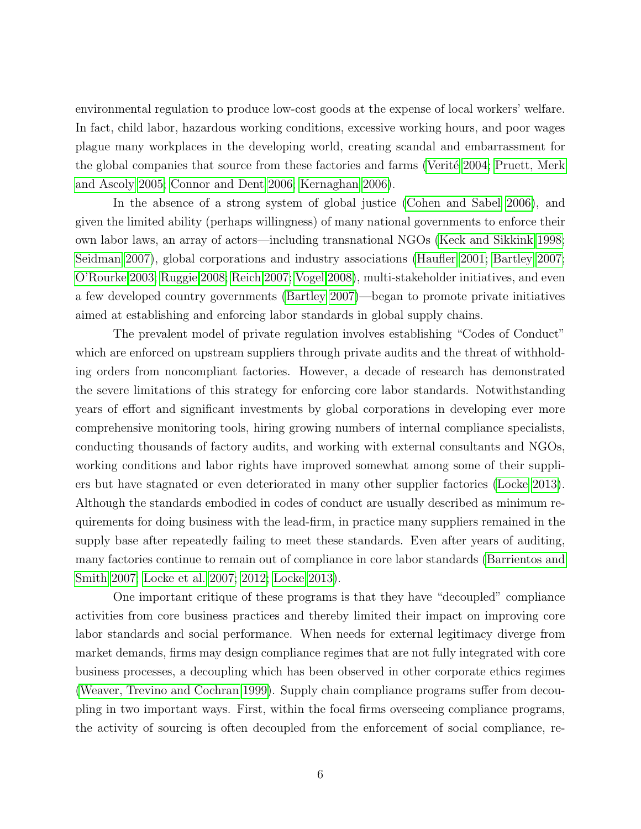environmental regulation to produce low-cost goods at the expense of local workers' welfare. In fact, child labor, hazardous working conditions, excessive working hours, and poor wages plague many workplaces in the developing world, creating scandal and embarrassment for the global companies that source from these factories and farms (Verité 2004; [Pruett, Merk](#page-29-6) [and Ascoly 2005;](#page-29-6) [Connor and Dent 2006;](#page-26-11) [Kernaghan 2006\)](#page-27-9).

In the absence of a strong system of global justice [\(Cohen and Sabel 2006\)](#page-26-12), and given the limited ability (perhaps willingness) of many national governments to enforce their own labor laws, an array of actors—including transnational NGOs [\(Keck and Sikkink 1998;](#page-27-10) [Seidman 2007\)](#page-29-7), global corporations and industry associations [\(Haufler 2001;](#page-27-11) [Bartley 2007;](#page-26-13) [O'Rourke 2003;](#page-28-10) [Ruggie 2008;](#page-29-8) [Reich 2007;](#page-29-9) [Vogel 2008\)](#page-29-10), multi-stakeholder initiatives, and even a few developed country governments [\(Bartley 2007\)](#page-26-13)—began to promote private initiatives aimed at establishing and enforcing labor standards in global supply chains.

The prevalent model of private regulation involves establishing "Codes of Conduct" which are enforced on upstream suppliers through private audits and the threat of withholding orders from noncompliant factories. However, a decade of research has demonstrated the severe limitations of this strategy for enforcing core labor standards. Notwithstanding years of effort and significant investments by global corporations in developing ever more comprehensive monitoring tools, hiring growing numbers of internal compliance specialists, conducting thousands of factory audits, and working with external consultants and NGOs, working conditions and labor rights have improved somewhat among some of their suppliers but have stagnated or even deteriorated in many other supplier factories [\(Locke 2013\)](#page-28-1). Although the standards embodied in codes of conduct are usually described as minimum requirements for doing business with the lead-firm, in practice many suppliers remained in the supply base after repeatedly failing to meet these standards. Even after years of auditing, many factories continue to remain out of compliance in core labor standards [\(Barrientos and](#page-26-2) [Smith 2007;](#page-26-2) [Locke et al. 2007;](#page-28-7) [2012;](#page-28-11) [Locke 2013\)](#page-28-1).

One important critique of these programs is that they have "decoupled" compliance activities from core business practices and thereby limited their impact on improving core labor standards and social performance. When needs for external legitimacy diverge from market demands, firms may design compliance regimes that are not fully integrated with core business processes, a decoupling which has been observed in other corporate ethics regimes [\(Weaver, Trevino and Cochran 1999\)](#page-29-2). Supply chain compliance programs suffer from decoupling in two important ways. First, within the focal firms overseeing compliance programs, the activity of sourcing is often decoupled from the enforcement of social compliance, re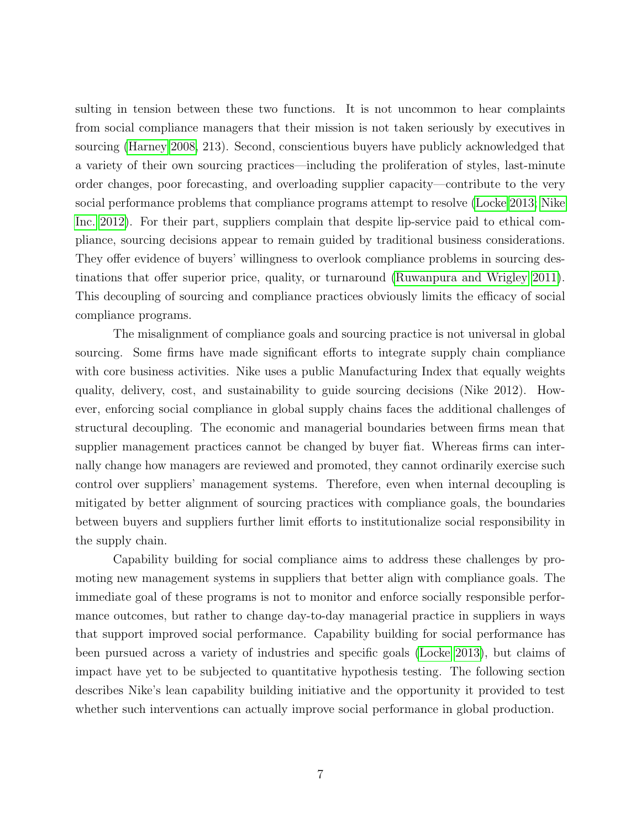sulting in tension between these two functions. It is not uncommon to hear complaints from social compliance managers that their mission is not taken seriously by executives in sourcing [\(Harney 2008,](#page-27-12) 213). Second, conscientious buyers have publicly acknowledged that a variety of their own sourcing practices—including the proliferation of styles, last-minute order changes, poor forecasting, and overloading supplier capacity—contribute to the very social performance problems that compliance programs attempt to resolve [\(Locke 2013;](#page-28-1) [Nike](#page-28-12) [Inc. 2012\)](#page-28-12). For their part, suppliers complain that despite lip-service paid to ethical compliance, sourcing decisions appear to remain guided by traditional business considerations. They offer evidence of buyers' willingness to overlook compliance problems in sourcing destinations that offer superior price, quality, or turnaround [\(Ruwanpura and Wrigley 2011\)](#page-29-11). This decoupling of sourcing and compliance practices obviously limits the efficacy of social compliance programs.

The misalignment of compliance goals and sourcing practice is not universal in global sourcing. Some firms have made significant efforts to integrate supply chain compliance with core business activities. Nike uses a public Manufacturing Index that equally weights quality, delivery, cost, and sustainability to guide sourcing decisions (Nike 2012). However, enforcing social compliance in global supply chains faces the additional challenges of structural decoupling. The economic and managerial boundaries between firms mean that supplier management practices cannot be changed by buyer fiat. Whereas firms can internally change how managers are reviewed and promoted, they cannot ordinarily exercise such control over suppliers' management systems. Therefore, even when internal decoupling is mitigated by better alignment of sourcing practices with compliance goals, the boundaries between buyers and suppliers further limit efforts to institutionalize social responsibility in the supply chain.

Capability building for social compliance aims to address these challenges by promoting new management systems in suppliers that better align with compliance goals. The immediate goal of these programs is not to monitor and enforce socially responsible performance outcomes, but rather to change day-to-day managerial practice in suppliers in ways that support improved social performance. Capability building for social performance has been pursued across a variety of industries and specific goals [\(Locke 2013\)](#page-28-1), but claims of impact have yet to be subjected to quantitative hypothesis testing. The following section describes Nike's lean capability building initiative and the opportunity it provided to test whether such interventions can actually improve social performance in global production.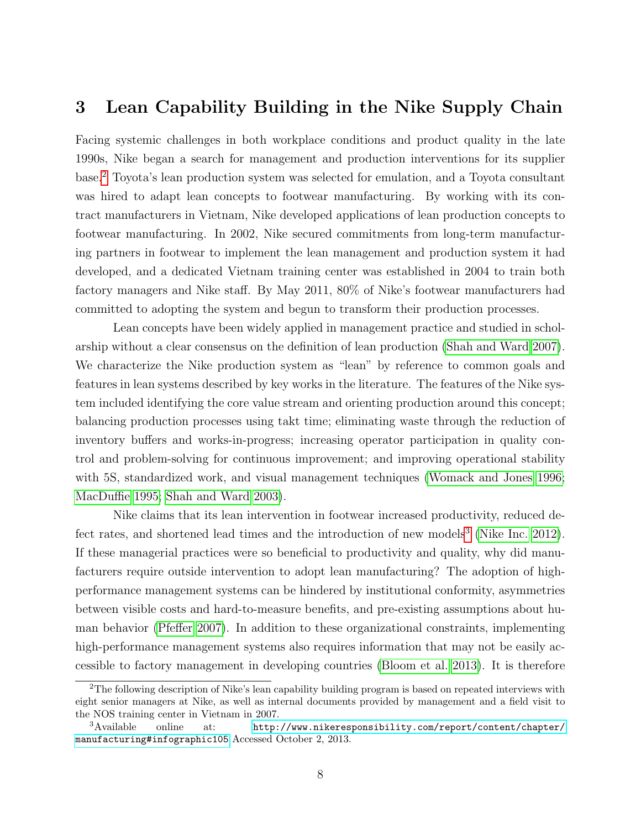### 3 Lean Capability Building in the Nike Supply Chain

Facing systemic challenges in both workplace conditions and product quality in the late 1990s, Nike began a search for management and production interventions for its supplier base.[2](#page-7-0) Toyota's lean production system was selected for emulation, and a Toyota consultant was hired to adapt lean concepts to footwear manufacturing. By working with its contract manufacturers in Vietnam, Nike developed applications of lean production concepts to footwear manufacturing. In 2002, Nike secured commitments from long-term manufacturing partners in footwear to implement the lean management and production system it had developed, and a dedicated Vietnam training center was established in 2004 to train both factory managers and Nike staff. By May 2011, 80% of Nike's footwear manufacturers had committed to adopting the system and begun to transform their production processes.

Lean concepts have been widely applied in management practice and studied in scholarship without a clear consensus on the definition of lean production [\(Shah and Ward 2007\)](#page-29-12). We characterize the Nike production system as "lean" by reference to common goals and features in lean systems described by key works in the literature. The features of the Nike system included identifying the core value stream and orienting production around this concept; balancing production processes using takt time; eliminating waste through the reduction of inventory buffers and works-in-progress; increasing operator participation in quality control and problem-solving for continuous improvement; and improving operational stability with 5S, standardized work, and visual management techniques [\(Womack and Jones 1996;](#page-30-0) [MacDuffie 1995;](#page-28-9) [Shah and Ward 2003\)](#page-29-13).

Nike claims that its lean intervention in footwear increased productivity, reduced de-fect rates, and shortened lead times and the introduction of new models<sup>[3](#page-7-1)</sup> [\(Nike Inc. 2012\)](#page-28-12). If these managerial practices were so beneficial to productivity and quality, why did manufacturers require outside intervention to adopt lean manufacturing? The adoption of highperformance management systems can be hindered by institutional conformity, asymmetries between visible costs and hard-to-measure benefits, and pre-existing assumptions about human behavior [\(Pfeffer 2007\)](#page-28-13). In addition to these organizational constraints, implementing high-performance management systems also requires information that may not be easily accessible to factory management in developing countries [\(Bloom et al. 2013\)](#page-26-6). It is therefore

<span id="page-7-0"></span><sup>2</sup>The following description of Nike's lean capability building program is based on repeated interviews with eight senior managers at Nike, as well as internal documents provided by management and a field visit to the NOS training center in Vietnam in 2007.

<span id="page-7-1"></span> $3A$ vailable online at: [http://www.nikeresponsibility.com/report/content/chapter/](http://www.nikeresponsibility.com/report/content/chapter/manufacturing#infographic105) [manufacturing#infographic105](http://www.nikeresponsibility.com/report/content/chapter/manufacturing#infographic105) Accessed October 2, 2013.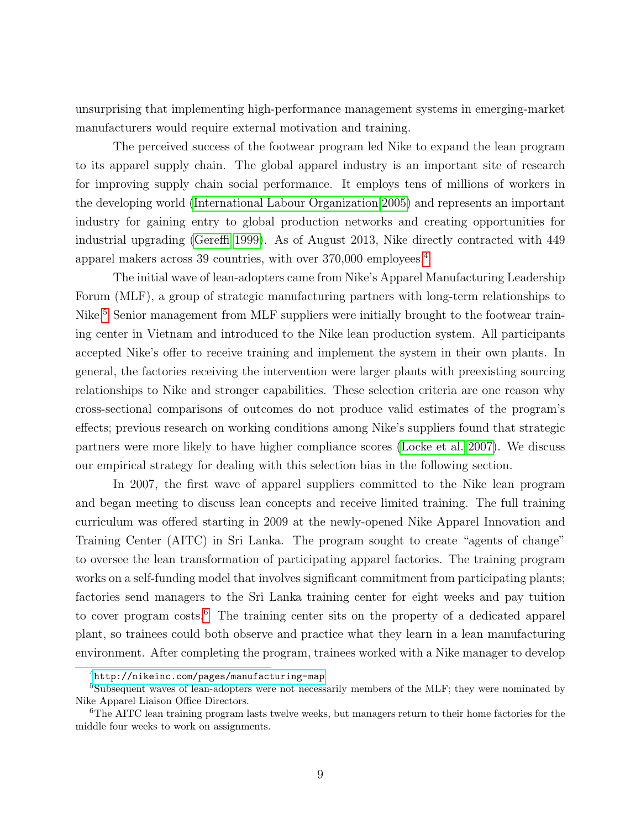unsurprising that implementing high-performance management systems in emerging-market manufacturers would require external motivation and training.

The perceived success of the footwear program led Nike to expand the lean program to its apparel supply chain. The global apparel industry is an important site of research for improving supply chain social performance. It employs tens of millions of workers in the developing world [\(International Labour Organization 2005\)](#page-27-3) and represents an important industry for gaining entry to global production networks and creating opportunities for industrial upgrading [\(Gereffi 1999\)](#page-27-13). As of August 2013, Nike directly contracted with 449 apparel makers across 39 countries, with over 370,000 employees.[4](#page-8-0)

The initial wave of lean-adopters came from Nike's Apparel Manufacturing Leadership Forum (MLF), a group of strategic manufacturing partners with long-term relationships to Nike.<sup>[5](#page-8-1)</sup> Senior management from MLF suppliers were initially brought to the footwear training center in Vietnam and introduced to the Nike lean production system. All participants accepted Nike's offer to receive training and implement the system in their own plants. In general, the factories receiving the intervention were larger plants with preexisting sourcing relationships to Nike and stronger capabilities. These selection criteria are one reason why cross-sectional comparisons of outcomes do not produce valid estimates of the program's effects; previous research on working conditions among Nike's suppliers found that strategic partners were more likely to have higher compliance scores [\(Locke et al. 2007\)](#page-28-7). We discuss our empirical strategy for dealing with this selection bias in the following section.

In 2007, the first wave of apparel suppliers committed to the Nike lean program and began meeting to discuss lean concepts and receive limited training. The full training curriculum was offered starting in 2009 at the newly-opened Nike Apparel Innovation and Training Center (AITC) in Sri Lanka. The program sought to create "agents of change" to oversee the lean transformation of participating apparel factories. The training program works on a self-funding model that involves significant commitment from participating plants; factories send managers to the Sri Lanka training center for eight weeks and pay tuition to cover program costs.<sup>[6](#page-8-2)</sup> The training center sits on the property of a dedicated apparel plant, so trainees could both observe and practice what they learn in a lean manufacturing environment. After completing the program, trainees worked with a Nike manager to develop

<span id="page-8-1"></span><span id="page-8-0"></span><sup>4</sup><http://nikeinc.com/pages/manufacturing-map>

<sup>&</sup>lt;sup>5</sup>Subsequent waves of lean-adopters were not necessarily members of the MLF; they were nominated by Nike Apparel Liaison Office Directors.

<span id="page-8-2"></span> $6$ The AITC lean training program lasts twelve weeks, but managers return to their home factories for the middle four weeks to work on assignments.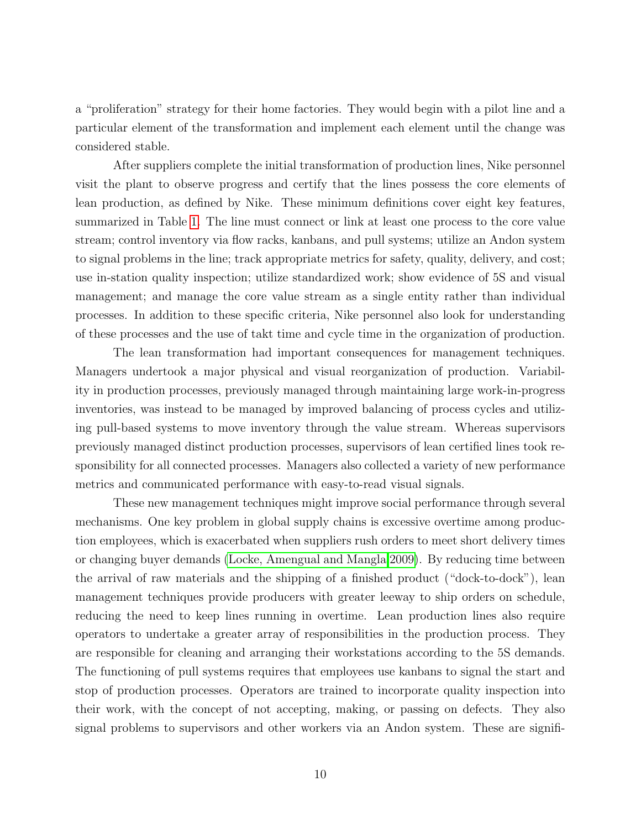a "proliferation" strategy for their home factories. They would begin with a pilot line and a particular element of the transformation and implement each element until the change was considered stable.

After suppliers complete the initial transformation of production lines, Nike personnel visit the plant to observe progress and certify that the lines possess the core elements of lean production, as defined by Nike. These minimum definitions cover eight key features, summarized in Table [1.](#page-10-0) The line must connect or link at least one process to the core value stream; control inventory via flow racks, kanbans, and pull systems; utilize an Andon system to signal problems in the line; track appropriate metrics for safety, quality, delivery, and cost; use in-station quality inspection; utilize standardized work; show evidence of 5S and visual management; and manage the core value stream as a single entity rather than individual processes. In addition to these specific criteria, Nike personnel also look for understanding of these processes and the use of takt time and cycle time in the organization of production.

The lean transformation had important consequences for management techniques. Managers undertook a major physical and visual reorganization of production. Variability in production processes, previously managed through maintaining large work-in-progress inventories, was instead to be managed by improved balancing of process cycles and utilizing pull-based systems to move inventory through the value stream. Whereas supervisors previously managed distinct production processes, supervisors of lean certified lines took responsibility for all connected processes. Managers also collected a variety of new performance metrics and communicated performance with easy-to-read visual signals.

These new management techniques might improve social performance through several mechanisms. One key problem in global supply chains is excessive overtime among production employees, which is exacerbated when suppliers rush orders to meet short delivery times or changing buyer demands [\(Locke, Amengual and Mangla 2009\)](#page-27-5). By reducing time between the arrival of raw materials and the shipping of a finished product ("dock-to-dock"), lean management techniques provide producers with greater leeway to ship orders on schedule, reducing the need to keep lines running in overtime. Lean production lines also require operators to undertake a greater array of responsibilities in the production process. They are responsible for cleaning and arranging their workstations according to the 5S demands. The functioning of pull systems requires that employees use kanbans to signal the start and stop of production processes. Operators are trained to incorporate quality inspection into their work, with the concept of not accepting, making, or passing on defects. They also signal problems to supervisors and other workers via an Andon system. These are signifi-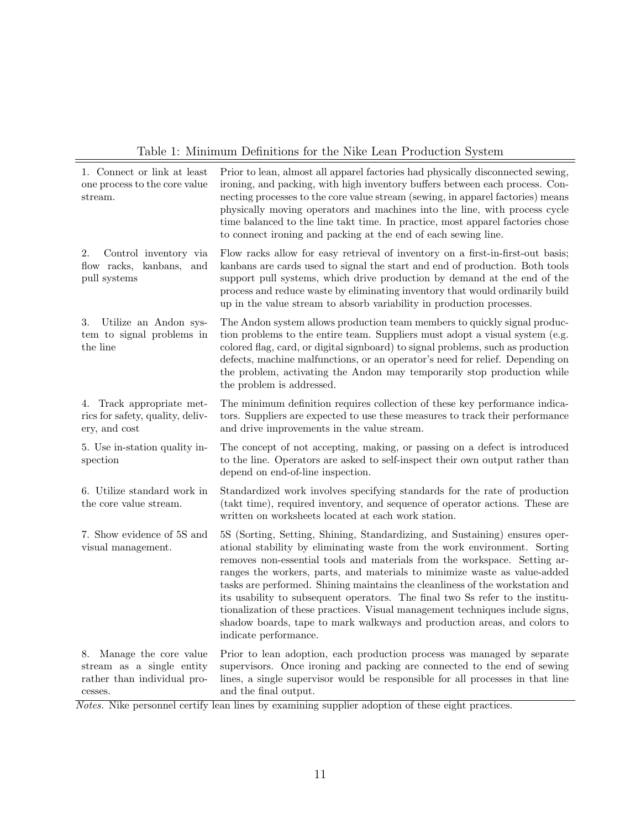#### <span id="page-10-0"></span>Table 1: Minimum Definitions for the Nike Lean Production System

| 1. Connect or link at least<br>one process to the core value<br>stream.                         | Prior to lean, almost all apparel factories had physically disconnected sewing,<br>ironing, and packing, with high inventory buffers between each process. Con-<br>necting processes to the core value stream (sewing, in apparel factories) means<br>physically moving operators and machines into the line, with process cycle<br>time balanced to the line takt time. In practice, most apparel factories chose<br>to connect ironing and packing at the end of each sewing line.                                                                                                                                                                                       |
|-------------------------------------------------------------------------------------------------|----------------------------------------------------------------------------------------------------------------------------------------------------------------------------------------------------------------------------------------------------------------------------------------------------------------------------------------------------------------------------------------------------------------------------------------------------------------------------------------------------------------------------------------------------------------------------------------------------------------------------------------------------------------------------|
| 2.<br>Control inventory via<br>flow racks, kanbans, and<br>pull systems                         | Flow racks allow for easy retrieval of inventory on a first-in-first-out basis;<br>kanbans are cards used to signal the start and end of production. Both tools<br>support pull systems, which drive production by demand at the end of the<br>process and reduce waste by eliminating inventory that would ordinarily build<br>up in the value stream to absorb variability in production processes.                                                                                                                                                                                                                                                                      |
| Utilize an Andon sys-<br>3.<br>tem to signal problems in<br>the line                            | The Andon system allows production team members to quickly signal produc-<br>tion problems to the entire team. Suppliers must adopt a visual system (e.g.<br>colored flag, card, or digital signboard) to signal problems, such as production<br>defects, machine malfunctions, or an operator's need for relief. Depending on<br>the problem, activating the Andon may temporarily stop production while<br>the problem is addressed.                                                                                                                                                                                                                                     |
| Track appropriate met-<br>4.<br>rics for safety, quality, deliv-<br>ery, and cost               | The minimum definition requires collection of these key performance indica-<br>tors. Suppliers are expected to use these measures to track their performance<br>and drive improvements in the value stream.                                                                                                                                                                                                                                                                                                                                                                                                                                                                |
| 5. Use in-station quality in-<br>spection                                                       | The concept of not accepting, making, or passing on a defect is introduced<br>to the line. Operators are asked to self-inspect their own output rather than<br>depend on end-of-line inspection.                                                                                                                                                                                                                                                                                                                                                                                                                                                                           |
| 6. Utilize standard work in<br>the core value stream.                                           | Standardized work involves specifying standards for the rate of production<br>(takt time), required inventory, and sequence of operator actions. These are<br>written on worksheets located at each work station.                                                                                                                                                                                                                                                                                                                                                                                                                                                          |
| 7. Show evidence of 5S and<br>visual management.                                                | 5S (Sorting, Setting, Shining, Standardizing, and Sustaining) ensures oper-<br>ational stability by eliminating waste from the work environment. Sorting<br>removes non-essential tools and materials from the workspace. Setting ar-<br>ranges the workers, parts, and materials to minimize waste as value-added<br>tasks are performed. Shining maintains the cleanliness of the workstation and<br>its usability to subsequent operators. The final two Ss refer to the institu-<br>tionalization of these practices. Visual management techniques include signs,<br>shadow boards, tape to mark walkways and production areas, and colors to<br>indicate performance. |
| 8. Manage the core value<br>stream as a single entity<br>rather than individual pro-<br>cesses. | Prior to lean adoption, each production process was managed by separate<br>supervisors. Once ironing and packing are connected to the end of sewing<br>lines, a single supervisor would be responsible for all processes in that line<br>and the final output.                                                                                                                                                                                                                                                                                                                                                                                                             |

Notes. Nike personnel certify lean lines by examining supplier adoption of these eight practices.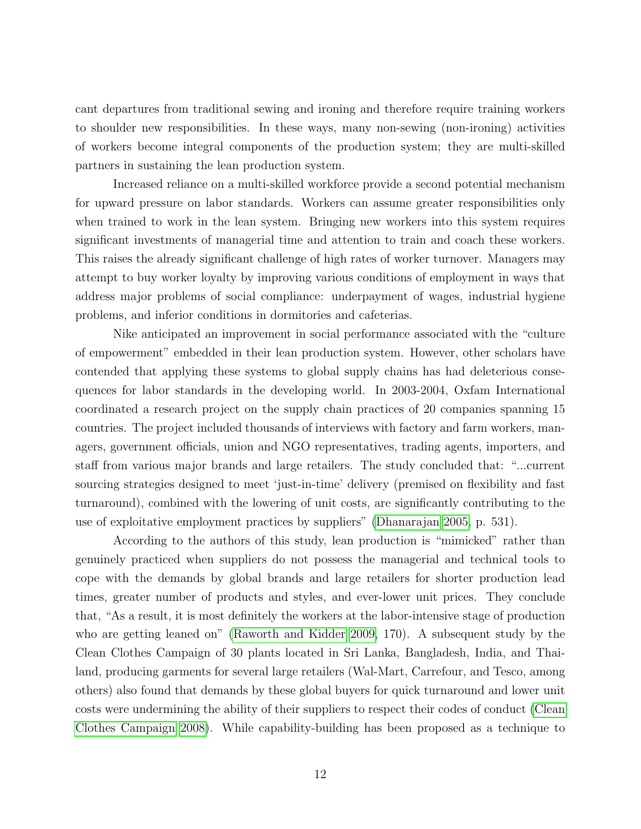cant departures from traditional sewing and ironing and therefore require training workers to shoulder new responsibilities. In these ways, many non-sewing (non-ironing) activities of workers become integral components of the production system; they are multi-skilled partners in sustaining the lean production system.

Increased reliance on a multi-skilled workforce provide a second potential mechanism for upward pressure on labor standards. Workers can assume greater responsibilities only when trained to work in the lean system. Bringing new workers into this system requires significant investments of managerial time and attention to train and coach these workers. This raises the already significant challenge of high rates of worker turnover. Managers may attempt to buy worker loyalty by improving various conditions of employment in ways that address major problems of social compliance: underpayment of wages, industrial hygiene problems, and inferior conditions in dormitories and cafeterias.

Nike anticipated an improvement in social performance associated with the "culture of empowerment" embedded in their lean production system. However, other scholars have contended that applying these systems to global supply chains has had deleterious consequences for labor standards in the developing world. In 2003-2004, Oxfam International coordinated a research project on the supply chain practices of 20 companies spanning 15 countries. The project included thousands of interviews with factory and farm workers, managers, government officials, union and NGO representatives, trading agents, importers, and staff from various major brands and large retailers. The study concluded that: "...current sourcing strategies designed to meet 'just-in-time' delivery (premised on flexibility and fast turnaround), combined with the lowering of unit costs, are significantly contributing to the use of exploitative employment practices by suppliers" [\(Dhanarajan 2005,](#page-26-7) p. 531).

According to the authors of this study, lean production is "mimicked" rather than genuinely practiced when suppliers do not possess the managerial and technical tools to cope with the demands by global brands and large retailers for shorter production lead times, greater number of products and styles, and ever-lower unit prices. They conclude that, "As a result, it is most definitely the workers at the labor-intensive stage of production who are getting leaned on" [\(Raworth and Kidder 2009,](#page-29-3) 170). A subsequent study by the Clean Clothes Campaign of 30 plants located in Sri Lanka, Bangladesh, India, and Thailand, producing garments for several large retailers (Wal-Mart, Carrefour, and Tesco, among others) also found that demands by these global buyers for quick turnaround and lower unit costs were undermining the ability of their suppliers to respect their codes of conduct [\(Clean](#page-26-14) [Clothes Campaign 2008\)](#page-26-14). While capability-building has been proposed as a technique to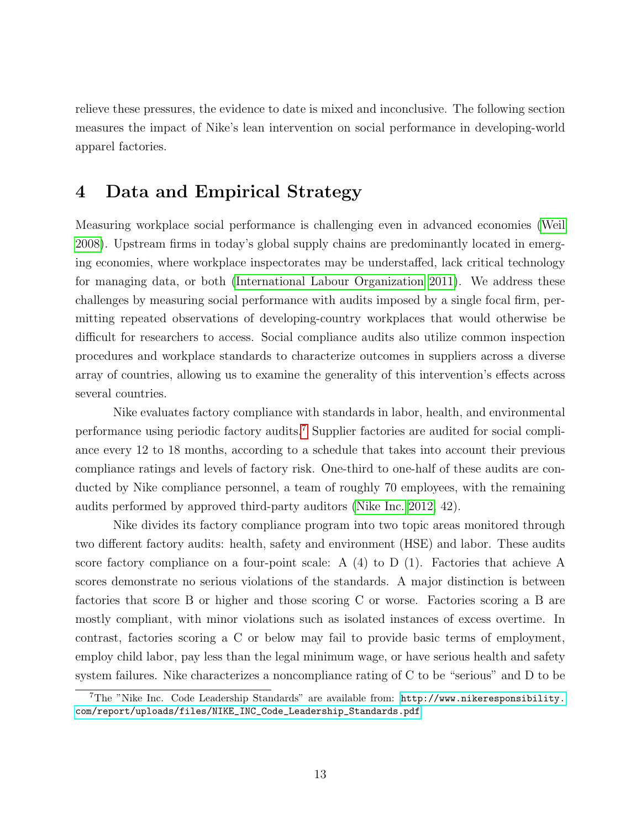relieve these pressures, the evidence to date is mixed and inconclusive. The following section measures the impact of Nike's lean intervention on social performance in developing-world apparel factories.

# 4 Data and Empirical Strategy

Measuring workplace social performance is challenging even in advanced economies [\(Weil](#page-29-14) [2008\)](#page-29-14). Upstream firms in today's global supply chains are predominantly located in emerging economies, where workplace inspectorates may be understaffed, lack critical technology for managing data, or both [\(International Labour Organization 2011\)](#page-27-14). We address these challenges by measuring social performance with audits imposed by a single focal firm, permitting repeated observations of developing-country workplaces that would otherwise be difficult for researchers to access. Social compliance audits also utilize common inspection procedures and workplace standards to characterize outcomes in suppliers across a diverse array of countries, allowing us to examine the generality of this intervention's effects across several countries.

Nike evaluates factory compliance with standards in labor, health, and environmental performance using periodic factory audits.[7](#page-12-0) Supplier factories are audited for social compliance every 12 to 18 months, according to a schedule that takes into account their previous compliance ratings and levels of factory risk. One-third to one-half of these audits are conducted by Nike compliance personnel, a team of roughly 70 employees, with the remaining audits performed by approved third-party auditors [\(Nike Inc. 2012,](#page-28-12) 42).

Nike divides its factory compliance program into two topic areas monitored through two different factory audits: health, safety and environment (HSE) and labor. These audits score factory compliance on a four-point scale: A  $(4)$  to D  $(1)$ . Factories that achieve A scores demonstrate no serious violations of the standards. A major distinction is between factories that score B or higher and those scoring C or worse. Factories scoring a B are mostly compliant, with minor violations such as isolated instances of excess overtime. In contrast, factories scoring a C or below may fail to provide basic terms of employment, employ child labor, pay less than the legal minimum wage, or have serious health and safety system failures. Nike characterizes a noncompliance rating of C to be "serious" and D to be

<span id="page-12-0"></span><sup>7</sup>The "Nike Inc. Code Leadership Standards" are available from: [http://www.nikeresponsibility.](http://www.nikeresponsibility.com/report/uploads/files/NIKE_INC_Code_Leadership_Standards.pdf) [com/report/uploads/files/NIKE\\_INC\\_Code\\_Leadership\\_Standards.pdf](http://www.nikeresponsibility.com/report/uploads/files/NIKE_INC_Code_Leadership_Standards.pdf)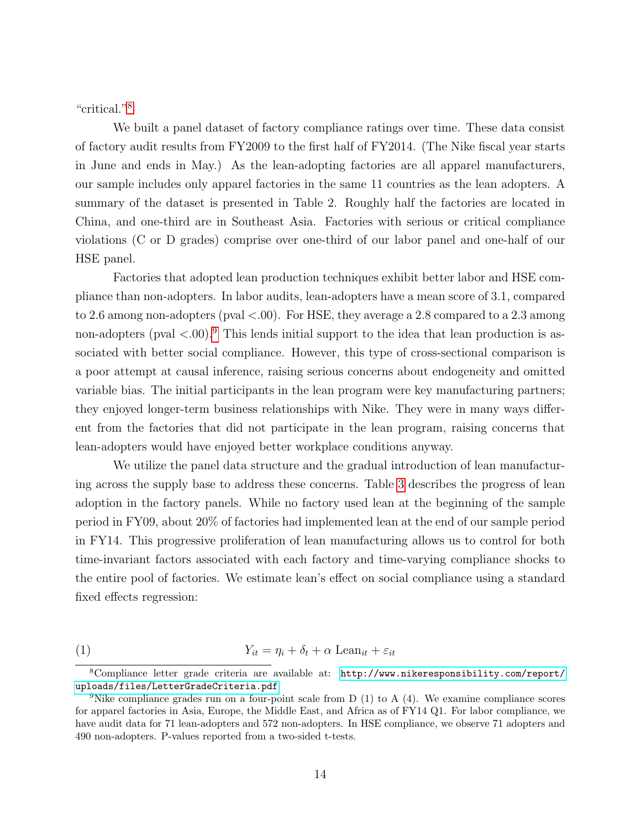"critical."[8](#page-13-0)

We built a panel dataset of factory compliance ratings over time. These data consist of factory audit results from FY2009 to the first half of FY2014. (The Nike fiscal year starts in June and ends in May.) As the lean-adopting factories are all apparel manufacturers, our sample includes only apparel factories in the same 11 countries as the lean adopters. A summary of the dataset is presented in Table 2. Roughly half the factories are located in China, and one-third are in Southeast Asia. Factories with serious or critical compliance violations (C or D grades) comprise over one-third of our labor panel and one-half of our HSE panel.

Factories that adopted lean production techniques exhibit better labor and HSE compliance than non-adopters. In labor audits, lean-adopters have a mean score of 3.1, compared to 2.6 among non-adopters (pval <.00). For HSE, they average a 2.8 compared to a 2.3 among non-adopters (pval  $\langle .00 \rangle$ .<sup>[9](#page-13-1)</sup> This lends initial support to the idea that lean production is associated with better social compliance. However, this type of cross-sectional comparison is a poor attempt at causal inference, raising serious concerns about endogeneity and omitted variable bias. The initial participants in the lean program were key manufacturing partners; they enjoyed longer-term business relationships with Nike. They were in many ways different from the factories that did not participate in the lean program, raising concerns that lean-adopters would have enjoyed better workplace conditions anyway.

We utilize the panel data structure and the gradual introduction of lean manufacturing across the supply base to address these concerns. Table [3](#page-15-0) describes the progress of lean adoption in the factory panels. While no factory used lean at the beginning of the sample period in FY09, about 20% of factories had implemented lean at the end of our sample period in FY14. This progressive proliferation of lean manufacturing allows us to control for both time-invariant factors associated with each factory and time-varying compliance shocks to the entire pool of factories. We estimate lean's effect on social compliance using a standard fixed effects regression:

$$
(1) \t Y_{it} = \eta_i + \delta_t + \alpha \operatorname{Lean}_{it} + \varepsilon_{it}
$$

<span id="page-13-0"></span><sup>8</sup>Compliance letter grade criteria are available at: [http://www.nikeresponsibility.com/report/](http://www.nikeresponsibility.com/report/uploads/files/LetterGradeCriteria.pdf) [uploads/files/LetterGradeCriteria.pdf](http://www.nikeresponsibility.com/report/uploads/files/LetterGradeCriteria.pdf)

<span id="page-13-1"></span><sup>&</sup>lt;sup>9</sup>Nike compliance grades run on a four-point scale from D (1) to A (4). We examine compliance scores for apparel factories in Asia, Europe, the Middle East, and Africa as of FY14 Q1. For labor compliance, we have audit data for 71 lean-adopters and 572 non-adopters. In HSE compliance, we observe 71 adopters and 490 non-adopters. P-values reported from a two-sided t-tests.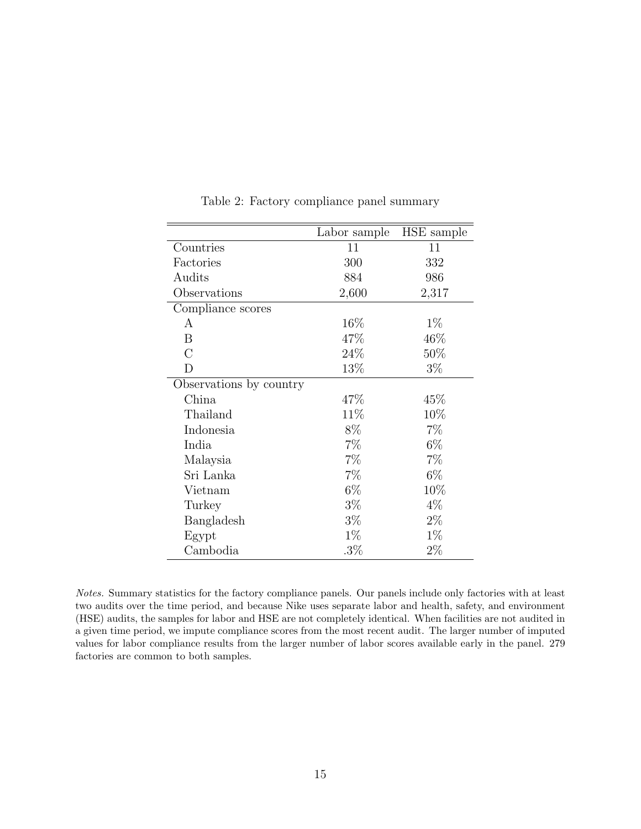|                         | Labor sample | HSE sample |
|-------------------------|--------------|------------|
| Countries               | 11           | 11         |
| Factories               | 300          | 332        |
| Audits                  | 884          | 986        |
| Observations            | 2,600        | 2,317      |
| Compliance scores       |              |            |
| А                       | 16\%         | $1\%$      |
| B                       | 47\%         | 46%        |
| $\overline{C}$          | 24%          | 50%        |
| D                       | 13%          | $3\%$      |
| Observations by country |              |            |
| China                   | 47\%         | 45\%       |
| Thailand                | 11%          | 10%        |
| Indonesia               | 8%           | 7%         |
| India                   | 7%           | $6\%$      |
| Malaysia                | 7%           | 7%         |
| Sri Lanka               | 7%           | $6\%$      |
| Vietnam                 | $6\%$        | 10%        |
| Turkey                  | $3\%$        | $4\%$      |
| Bangladesh              | $3\%$        | $2\%$      |
| Egypt                   | $1\%$        | $1\%$      |
| Cambodia                | $.3\%$       | $2\%$      |

<span id="page-14-0"></span>Table 2: Factory compliance panel summary

Notes. Summary statistics for the factory compliance panels. Our panels include only factories with at least two audits over the time period, and because Nike uses separate labor and health, safety, and environment (HSE) audits, the samples for labor and HSE are not completely identical. When facilities are not audited in a given time period, we impute compliance scores from the most recent audit. The larger number of imputed values for labor compliance results from the larger number of labor scores available early in the panel. 279 factories are common to both samples.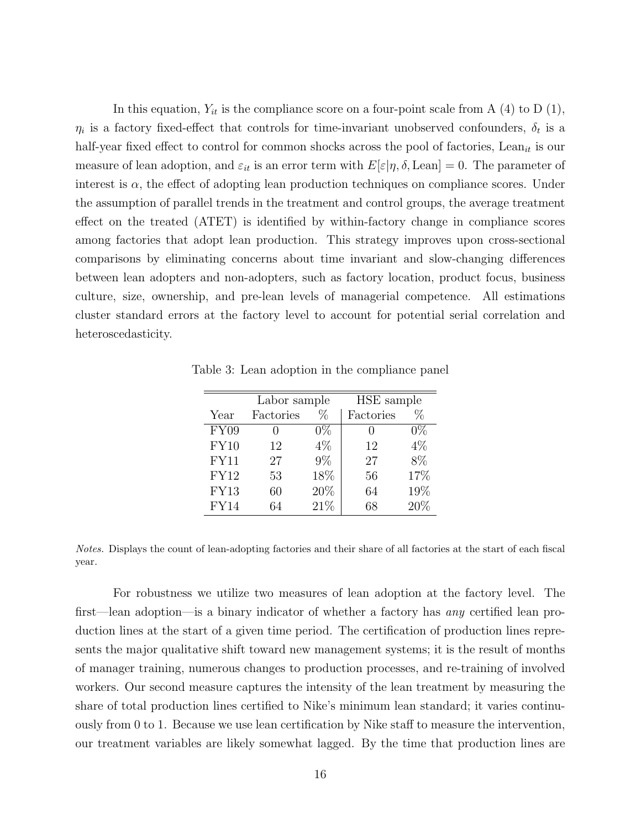In this equation,  $Y_{it}$  is the compliance score on a four-point scale from A (4) to D (1),  $\eta_i$  is a factory fixed-effect that controls for time-invariant unobserved confounders,  $\delta_t$  is a half-year fixed effect to control for common shocks across the pool of factories, Lean<sub>it</sub> is our measure of lean adoption, and  $\varepsilon_{it}$  is an error term with  $E[\varepsilon|\eta, \delta]$ , Lean = 0. The parameter of interest is  $\alpha$ , the effect of adopting lean production techniques on compliance scores. Under the assumption of parallel trends in the treatment and control groups, the average treatment effect on the treated (ATET) is identified by within-factory change in compliance scores among factories that adopt lean production. This strategy improves upon cross-sectional comparisons by eliminating concerns about time invariant and slow-changing differences between lean adopters and non-adopters, such as factory location, product focus, business culture, size, ownership, and pre-lean levels of managerial competence. All estimations cluster standard errors at the factory level to account for potential serial correlation and heteroscedasticity.

|             | Labor sample |        | HSE sample |       |  |
|-------------|--------------|--------|------------|-------|--|
| Year        | Factories    | $\%$   | Factories  | $\%$  |  |
| FY09        |              | $0\%$  | 0          | $0\%$ |  |
| FY10        | 12           | 4%     | 12         | $4\%$ |  |
| <b>FY11</b> | 27           | 9%     | 27         | $8\%$ |  |
| <b>FY12</b> | 53           | 18%    | 56         | 17%   |  |
| FY13        | 60           | $20\%$ | 64         | 19%   |  |
| FY14        | 64           | 21%    | 68         | 20%   |  |

<span id="page-15-0"></span>Table 3: Lean adoption in the compliance panel

Notes. Displays the count of lean-adopting factories and their share of all factories at the start of each fiscal year.

For robustness we utilize two measures of lean adoption at the factory level. The first—lean adoption—is a binary indicator of whether a factory has *any* certified lean production lines at the start of a given time period. The certification of production lines represents the major qualitative shift toward new management systems; it is the result of months of manager training, numerous changes to production processes, and re-training of involved workers. Our second measure captures the intensity of the lean treatment by measuring the share of total production lines certified to Nike's minimum lean standard; it varies continuously from 0 to 1. Because we use lean certification by Nike staff to measure the intervention, our treatment variables are likely somewhat lagged. By the time that production lines are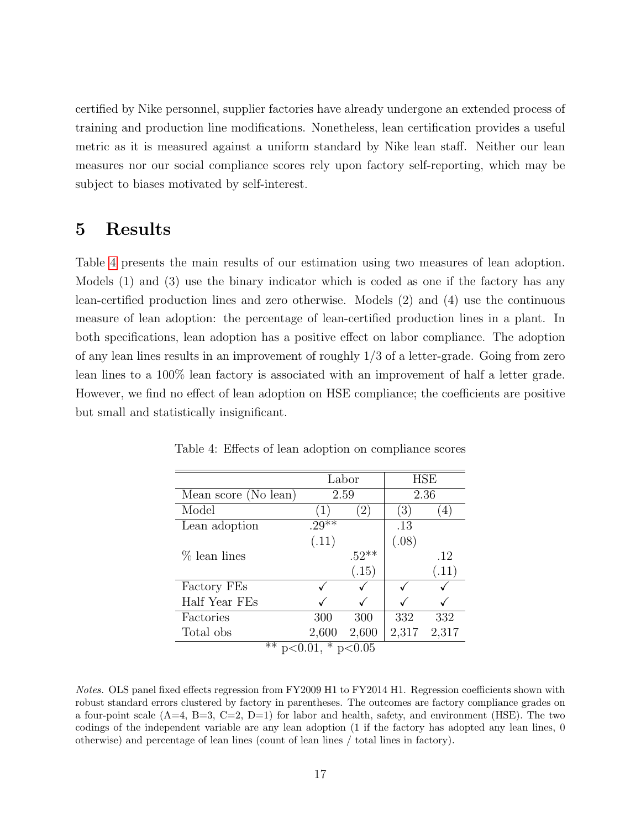certified by Nike personnel, supplier factories have already undergone an extended process of training and production line modifications. Nonetheless, lean certification provides a useful metric as it is measured against a uniform standard by Nike lean staff. Neither our lean measures nor our social compliance scores rely upon factory self-reporting, which may be subject to biases motivated by self-interest.

### 5 Results

Table [4](#page-16-0) presents the main results of our estimation using two measures of lean adoption. Models (1) and (3) use the binary indicator which is coded as one if the factory has any lean-certified production lines and zero otherwise. Models (2) and (4) use the continuous measure of lean adoption: the percentage of lean-certified production lines in a plant. In both specifications, lean adoption has a positive effect on labor compliance. The adoption of any lean lines results in an improvement of roughly 1/3 of a letter-grade. Going from zero lean lines to a 100% lean factory is associated with an improvement of half a letter grade. However, we find no effect of lean adoption on HSE compliance; the coefficients are positive but small and statistically insignificant.

|                          | Labor   |                | <b>HSE</b> |                   |  |
|--------------------------|---------|----------------|------------|-------------------|--|
| Mean score (No lean)     | 2.59    |                |            | 2.36              |  |
| Model                    | 1.      | $\overline{2}$ | (3)        | $\left( 4\right)$ |  |
| Lean adoption            | $.29**$ |                | .13        |                   |  |
|                          | (.11)   |                | (.08)      |                   |  |
| % lean lines             |         | $.52**$        |            | .12               |  |
|                          |         | (.15)          |            | (.11)             |  |
| Factory FEs              |         |                |            |                   |  |
| Half Year FEs            |         |                |            |                   |  |
| Factories                | 300     | 300            | 332        | 332               |  |
| Total obs                | 2,600   | 2,600          | 2,317      | 2,317             |  |
| $**$<br>$\ast$<br>p<0.05 |         |                |            |                   |  |

<span id="page-16-0"></span>Table 4: Effects of lean adoption on compliance scores

Notes. OLS panel fixed effects regression from FY2009 H1 to FY2014 H1. Regression coefficients shown with robust standard errors clustered by factory in parentheses. The outcomes are factory compliance grades on a four-point scale  $(A=4, B=3, C=2, D=1)$  for labor and health, safety, and environment (HSE). The two codings of the independent variable are any lean adoption (1 if the factory has adopted any lean lines, 0 otherwise) and percentage of lean lines (count of lean lines / total lines in factory).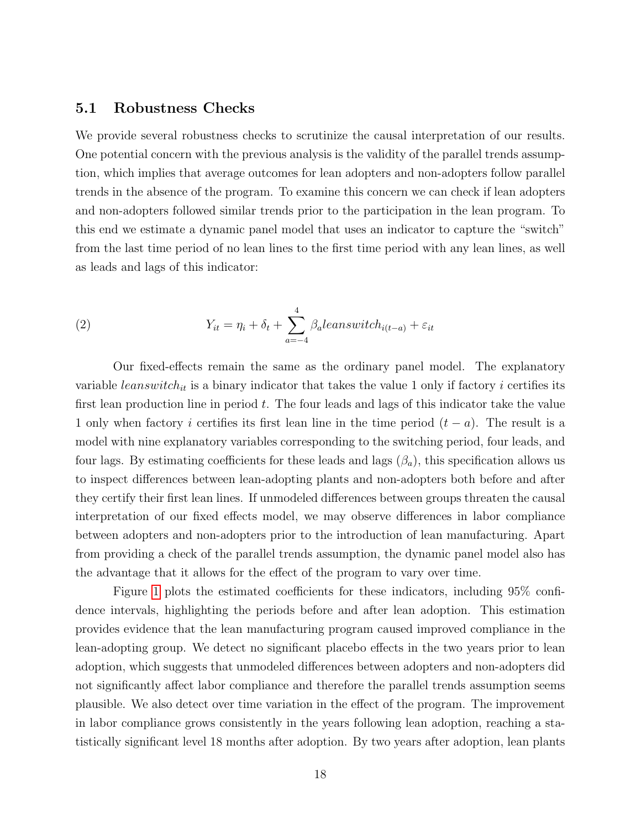#### 5.1 Robustness Checks

We provide several robustness checks to scrutinize the causal interpretation of our results. One potential concern with the previous analysis is the validity of the parallel trends assumption, which implies that average outcomes for lean adopters and non-adopters follow parallel trends in the absence of the program. To examine this concern we can check if lean adopters and non-adopters followed similar trends prior to the participation in the lean program. To this end we estimate a dynamic panel model that uses an indicator to capture the "switch" from the last time period of no lean lines to the first time period with any lean lines, as well as leads and lags of this indicator:

(2) 
$$
Y_{it} = \eta_i + \delta_t + \sum_{a=-4}^{4} \beta_a leanswitch_{i(t-a)} + \varepsilon_{it}
$$

Our fixed-effects remain the same as the ordinary panel model. The explanatory variable *leanswitch<sub>it</sub>* is a binary indicator that takes the value 1 only if factory *i* certifies its first lean production line in period  $t$ . The four leads and lags of this indicator take the value 1 only when factory i certifies its first lean line in the time period  $(t - a)$ . The result is a model with nine explanatory variables corresponding to the switching period, four leads, and four lags. By estimating coefficients for these leads and lags  $(\beta_a)$ , this specification allows us to inspect differences between lean-adopting plants and non-adopters both before and after they certify their first lean lines. If unmodeled differences between groups threaten the causal interpretation of our fixed effects model, we may observe differences in labor compliance between adopters and non-adopters prior to the introduction of lean manufacturing. Apart from providing a check of the parallel trends assumption, the dynamic panel model also has the advantage that it allows for the effect of the program to vary over time.

Figure [1](#page-18-0) plots the estimated coefficients for these indicators, including 95% confidence intervals, highlighting the periods before and after lean adoption. This estimation provides evidence that the lean manufacturing program caused improved compliance in the lean-adopting group. We detect no significant placebo effects in the two years prior to lean adoption, which suggests that unmodeled differences between adopters and non-adopters did not significantly affect labor compliance and therefore the parallel trends assumption seems plausible. We also detect over time variation in the effect of the program. The improvement in labor compliance grows consistently in the years following lean adoption, reaching a statistically significant level 18 months after adoption. By two years after adoption, lean plants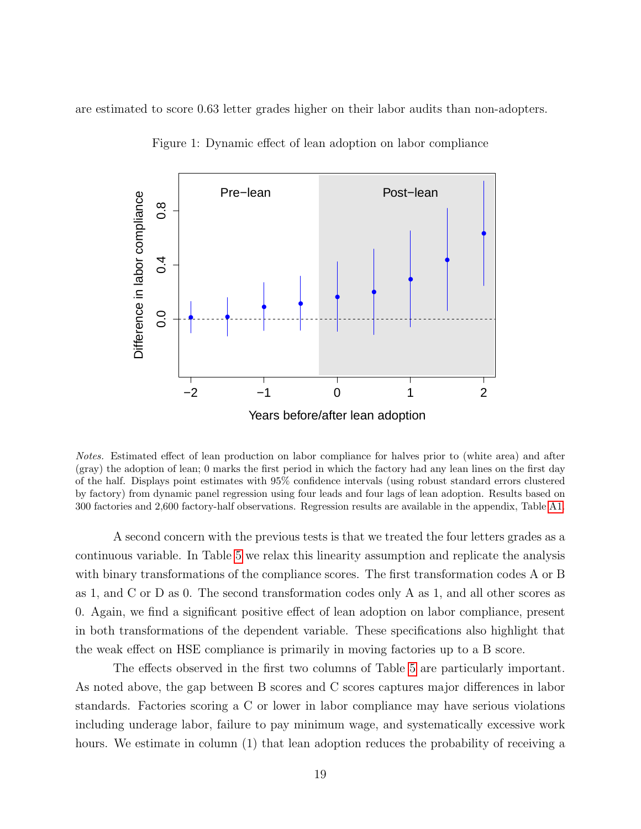are estimated to score 0.63 letter grades higher on their labor audits than non-adopters.



<span id="page-18-0"></span>Figure 1: Dynamic effect of lean adoption on labor compliance

Notes. Estimated effect of lean production on labor compliance for halves prior to (white area) and after (gray) the adoption of lean; 0 marks the first period in which the factory had any lean lines on the first day of the half. Displays point estimates with 95% confidence intervals (using robust standard errors clustered by factory) from dynamic panel regression using four leads and four lags of lean adoption. Results based on 300 factories and 2,600 factory-half observations. Regression results are available in the appendix, Table [A1.](#page-10-0)

A second concern with the previous tests is that we treated the four letters grades as a continuous variable. In Table [5](#page-19-0) we relax this linearity assumption and replicate the analysis with binary transformations of the compliance scores. The first transformation codes A or B as 1, and C or D as 0. The second transformation codes only A as 1, and all other scores as 0. Again, we find a significant positive effect of lean adoption on labor compliance, present in both transformations of the dependent variable. These specifications also highlight that the weak effect on HSE compliance is primarily in moving factories up to a B score.

The effects observed in the first two columns of Table [5](#page-19-0) are particularly important. As noted above, the gap between B scores and C scores captures major differences in labor standards. Factories scoring a C or lower in labor compliance may have serious violations including underage labor, failure to pay minimum wage, and systematically excessive work hours. We estimate in column (1) that lean adoption reduces the probability of receiving a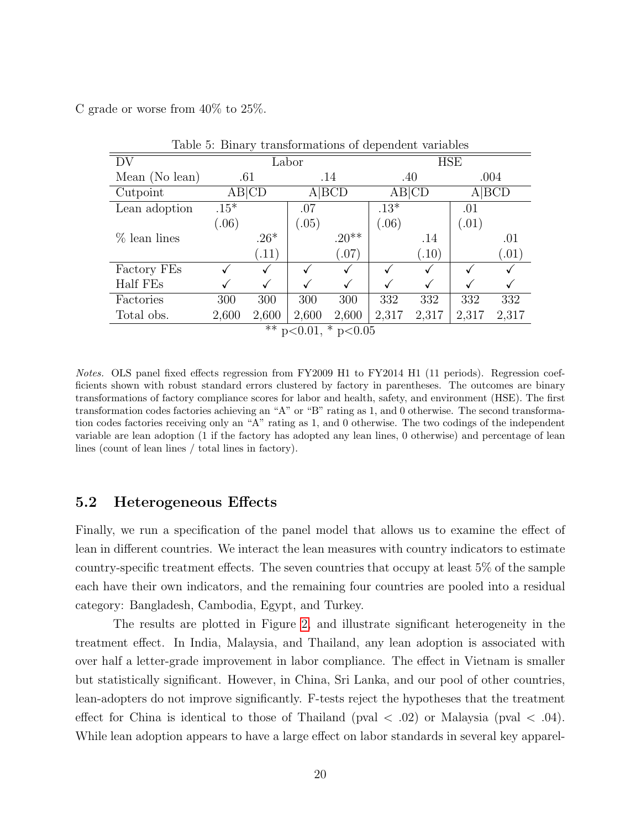C grade or worse from 40% to 25%.

<span id="page-19-0"></span>

| Table 5: Binary transformations of dependent variables |        |        |       |            |        |       |       |       |
|--------------------------------------------------------|--------|--------|-------|------------|--------|-------|-------|-------|
| DV                                                     | Labor  |        |       | <b>HSE</b> |        |       |       |       |
| Mean (No lean)                                         | .61    |        | .14   |            |        | .40   | .004  |       |
| Cutpoint                                               |        | AB CD  |       | A BCD      |        | AB CD | A BCD |       |
| Lean adoption                                          | $.15*$ |        | .07   |            | $.13*$ |       | .01   |       |
|                                                        | (.06)  |        | (.05) |            | (.06)  |       | (.01) |       |
| % lean lines                                           |        | $.26*$ |       | $.20**$    |        | .14   |       | .01   |
|                                                        |        | (.11)  |       | (.07)      |        | (.10) |       | (.01) |
| Factory FEs                                            |        |        |       |            |        |       |       |       |
| Half FEs                                               |        |        |       |            |        |       |       |       |
| Factories                                              | 300    | 300    | 300   | 300        | 332    | 332   | 332   | 332   |
| Total obs.                                             | 2,600  | 2,600  | 2,600 | 2,600      | 2,317  | 2,317 | 2,317 | 2,317 |
| $***$<br>$*$ p<0.05<br>$p<0.01$ ,                      |        |        |       |            |        |       |       |       |

Notes. OLS panel fixed effects regression from FY2009 H1 to FY2014 H1 (11 periods). Regression coefficients shown with robust standard errors clustered by factory in parentheses. The outcomes are binary transformations of factory compliance scores for labor and health, safety, and environment (HSE). The first transformation codes factories achieving an "A" or "B" rating as 1, and 0 otherwise. The second transformation codes factories receiving only an "A" rating as 1, and 0 otherwise. The two codings of the independent variable are lean adoption (1 if the factory has adopted any lean lines, 0 otherwise) and percentage of lean lines (count of lean lines / total lines in factory).

#### 5.2 Heterogeneous Effects

Finally, we run a specification of the panel model that allows us to examine the effect of lean in different countries. We interact the lean measures with country indicators to estimate country-specific treatment effects. The seven countries that occupy at least 5% of the sample each have their own indicators, and the remaining four countries are pooled into a residual category: Bangladesh, Cambodia, Egypt, and Turkey.

The results are plotted in Figure [2,](#page-20-0) and illustrate significant heterogeneity in the treatment effect. In India, Malaysia, and Thailand, any lean adoption is associated with over half a letter-grade improvement in labor compliance. The effect in Vietnam is smaller but statistically significant. However, in China, Sri Lanka, and our pool of other countries, lean-adopters do not improve significantly. F-tests reject the hypotheses that the treatment effect for China is identical to those of Thailand (pval  $\langle .02 \rangle$ ) or Malaysia (pval  $\langle .04 \rangle$ . While lean adoption appears to have a large effect on labor standards in several key apparel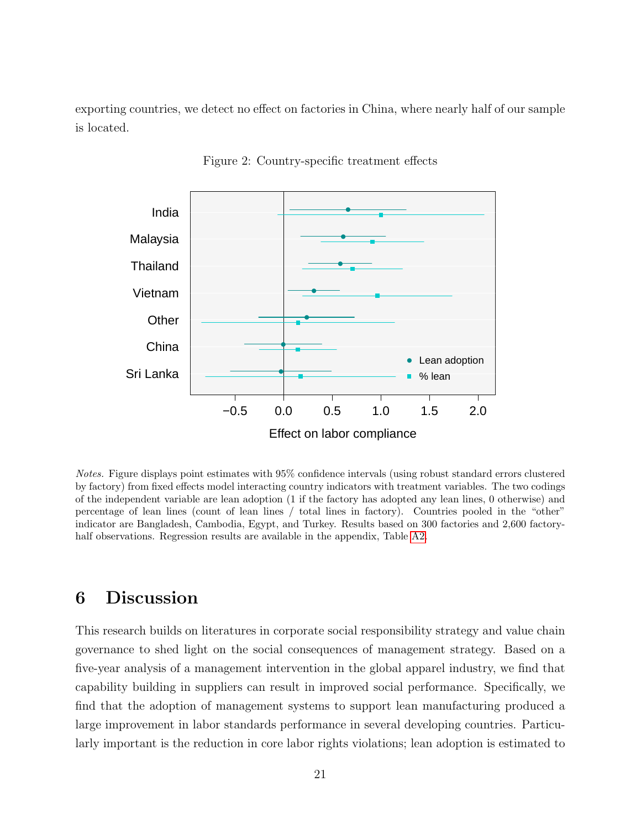exporting countries, we detect no effect on factories in China, where nearly half of our sample is located.



<span id="page-20-0"></span>Figure 2: Country-specific treatment effects

Notes. Figure displays point estimates with 95% confidence intervals (using robust standard errors clustered by factory) from fixed effects model interacting country indicators with treatment variables. The two codings of the independent variable are lean adoption (1 if the factory has adopted any lean lines, 0 otherwise) and percentage of lean lines (count of lean lines / total lines in factory). Countries pooled in the "other" indicator are Bangladesh, Cambodia, Egypt, and Turkey. Results based on 300 factories and 2,600 factoryhalf observations. Regression results are available in the appendix, Table [A2.](#page-14-0)

#### 6 Discussion

This research builds on literatures in corporate social responsibility strategy and value chain governance to shed light on the social consequences of management strategy. Based on a five-year analysis of a management intervention in the global apparel industry, we find that capability building in suppliers can result in improved social performance. Specifically, we find that the adoption of management systems to support lean manufacturing produced a large improvement in labor standards performance in several developing countries. Particularly important is the reduction in core labor rights violations; lean adoption is estimated to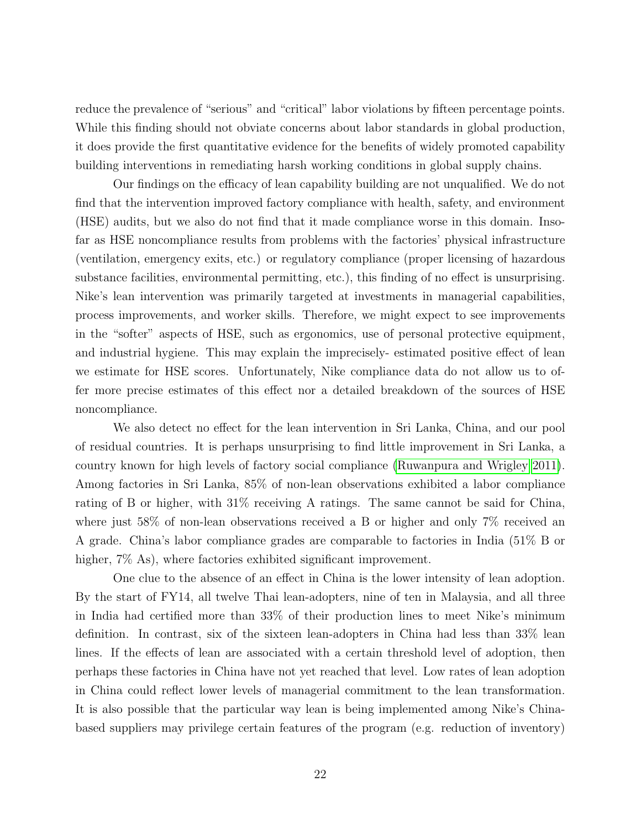reduce the prevalence of "serious" and "critical" labor violations by fifteen percentage points. While this finding should not obviate concerns about labor standards in global production, it does provide the first quantitative evidence for the benefits of widely promoted capability building interventions in remediating harsh working conditions in global supply chains.

Our findings on the efficacy of lean capability building are not unqualified. We do not find that the intervention improved factory compliance with health, safety, and environment (HSE) audits, but we also do not find that it made compliance worse in this domain. Insofar as HSE noncompliance results from problems with the factories' physical infrastructure (ventilation, emergency exits, etc.) or regulatory compliance (proper licensing of hazardous substance facilities, environmental permitting, etc.), this finding of no effect is unsurprising. Nike's lean intervention was primarily targeted at investments in managerial capabilities, process improvements, and worker skills. Therefore, we might expect to see improvements in the "softer" aspects of HSE, such as ergonomics, use of personal protective equipment, and industrial hygiene. This may explain the imprecisely- estimated positive effect of lean we estimate for HSE scores. Unfortunately, Nike compliance data do not allow us to offer more precise estimates of this effect nor a detailed breakdown of the sources of HSE noncompliance.

We also detect no effect for the lean intervention in Sri Lanka, China, and our pool of residual countries. It is perhaps unsurprising to find little improvement in Sri Lanka, a country known for high levels of factory social compliance [\(Ruwanpura and Wrigley 2011\)](#page-29-11). Among factories in Sri Lanka, 85% of non-lean observations exhibited a labor compliance rating of B or higher, with 31% receiving A ratings. The same cannot be said for China, where just 58% of non-lean observations received a B or higher and only 7% received an A grade. China's labor compliance grades are comparable to factories in India (51% B or higher, 7% As), where factories exhibited significant improvement.

One clue to the absence of an effect in China is the lower intensity of lean adoption. By the start of FY14, all twelve Thai lean-adopters, nine of ten in Malaysia, and all three in India had certified more than 33% of their production lines to meet Nike's minimum definition. In contrast, six of the sixteen lean-adopters in China had less than 33% lean lines. If the effects of lean are associated with a certain threshold level of adoption, then perhaps these factories in China have not yet reached that level. Low rates of lean adoption in China could reflect lower levels of managerial commitment to the lean transformation. It is also possible that the particular way lean is being implemented among Nike's Chinabased suppliers may privilege certain features of the program (e.g. reduction of inventory)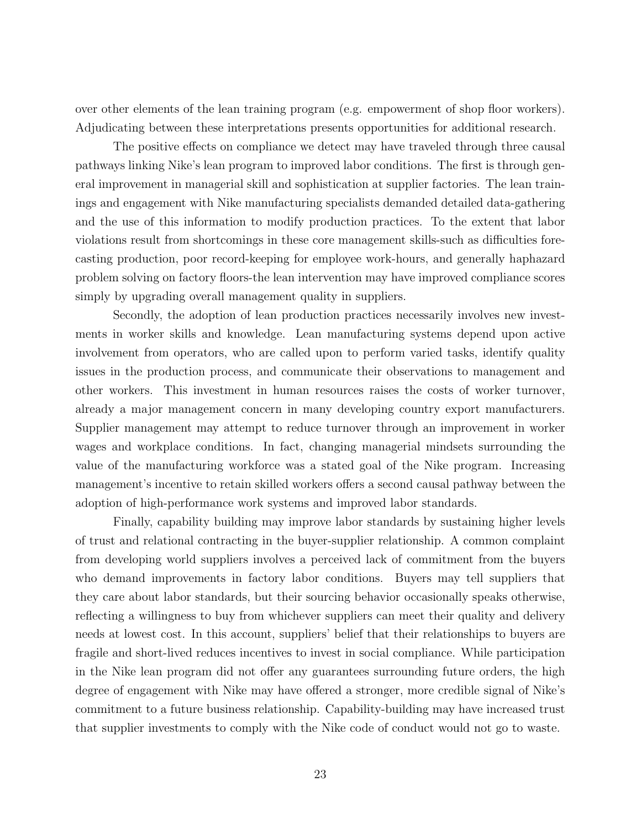over other elements of the lean training program (e.g. empowerment of shop floor workers). Adjudicating between these interpretations presents opportunities for additional research.

The positive effects on compliance we detect may have traveled through three causal pathways linking Nike's lean program to improved labor conditions. The first is through general improvement in managerial skill and sophistication at supplier factories. The lean trainings and engagement with Nike manufacturing specialists demanded detailed data-gathering and the use of this information to modify production practices. To the extent that labor violations result from shortcomings in these core management skills-such as difficulties forecasting production, poor record-keeping for employee work-hours, and generally haphazard problem solving on factory floors-the lean intervention may have improved compliance scores simply by upgrading overall management quality in suppliers.

Secondly, the adoption of lean production practices necessarily involves new investments in worker skills and knowledge. Lean manufacturing systems depend upon active involvement from operators, who are called upon to perform varied tasks, identify quality issues in the production process, and communicate their observations to management and other workers. This investment in human resources raises the costs of worker turnover, already a major management concern in many developing country export manufacturers. Supplier management may attempt to reduce turnover through an improvement in worker wages and workplace conditions. In fact, changing managerial mindsets surrounding the value of the manufacturing workforce was a stated goal of the Nike program. Increasing management's incentive to retain skilled workers offers a second causal pathway between the adoption of high-performance work systems and improved labor standards.

Finally, capability building may improve labor standards by sustaining higher levels of trust and relational contracting in the buyer-supplier relationship. A common complaint from developing world suppliers involves a perceived lack of commitment from the buyers who demand improvements in factory labor conditions. Buyers may tell suppliers that they care about labor standards, but their sourcing behavior occasionally speaks otherwise, reflecting a willingness to buy from whichever suppliers can meet their quality and delivery needs at lowest cost. In this account, suppliers' belief that their relationships to buyers are fragile and short-lived reduces incentives to invest in social compliance. While participation in the Nike lean program did not offer any guarantees surrounding future orders, the high degree of engagement with Nike may have offered a stronger, more credible signal of Nike's commitment to a future business relationship. Capability-building may have increased trust that supplier investments to comply with the Nike code of conduct would not go to waste.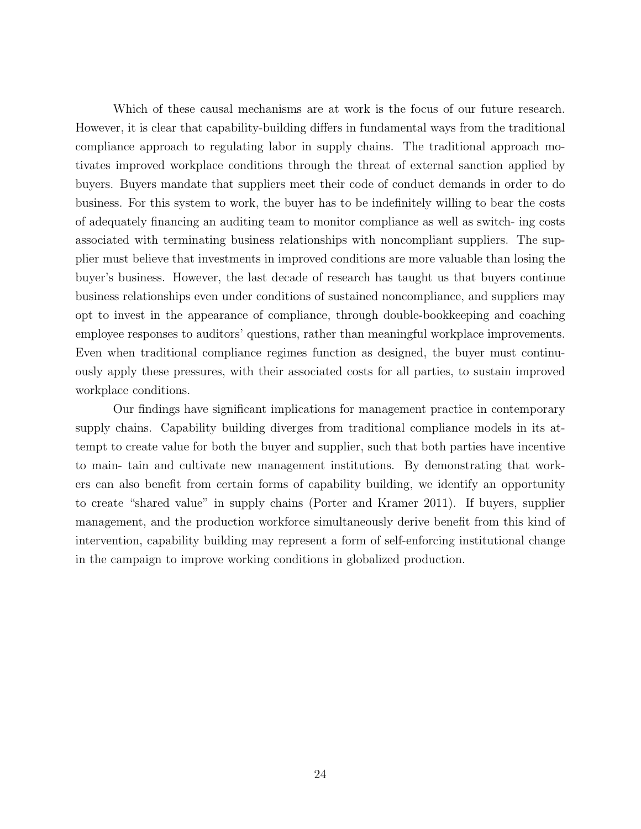Which of these causal mechanisms are at work is the focus of our future research. However, it is clear that capability-building differs in fundamental ways from the traditional compliance approach to regulating labor in supply chains. The traditional approach motivates improved workplace conditions through the threat of external sanction applied by buyers. Buyers mandate that suppliers meet their code of conduct demands in order to do business. For this system to work, the buyer has to be indefinitely willing to bear the costs of adequately financing an auditing team to monitor compliance as well as switch- ing costs associated with terminating business relationships with noncompliant suppliers. The supplier must believe that investments in improved conditions are more valuable than losing the buyer's business. However, the last decade of research has taught us that buyers continue business relationships even under conditions of sustained noncompliance, and suppliers may opt to invest in the appearance of compliance, through double-bookkeeping and coaching employee responses to auditors' questions, rather than meaningful workplace improvements. Even when traditional compliance regimes function as designed, the buyer must continuously apply these pressures, with their associated costs for all parties, to sustain improved workplace conditions.

Our findings have significant implications for management practice in contemporary supply chains. Capability building diverges from traditional compliance models in its attempt to create value for both the buyer and supplier, such that both parties have incentive to main- tain and cultivate new management institutions. By demonstrating that workers can also benefit from certain forms of capability building, we identify an opportunity to create "shared value" in supply chains (Porter and Kramer 2011). If buyers, supplier management, and the production workforce simultaneously derive benefit from this kind of intervention, capability building may represent a form of self-enforcing institutional change in the campaign to improve working conditions in globalized production.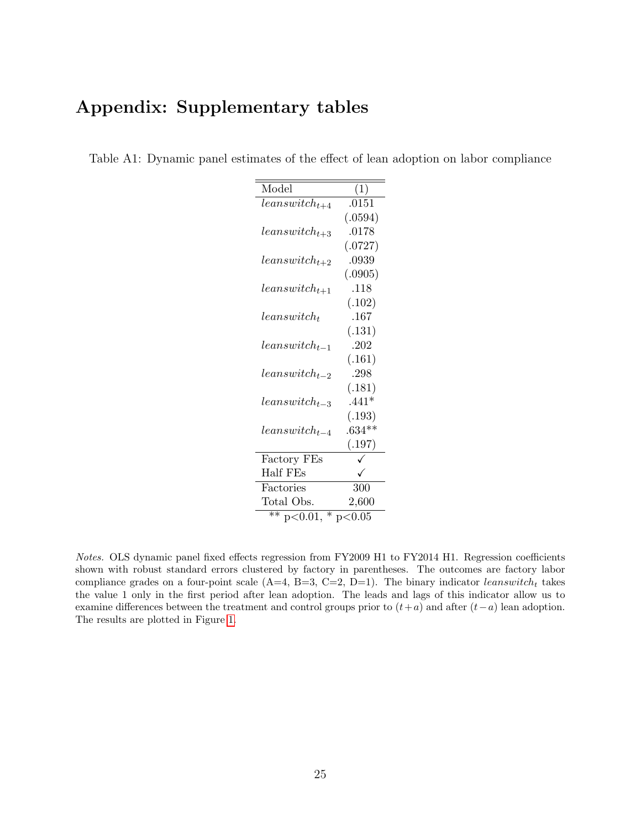# Appendix: Supplementary tables

| Model                | (1)      |
|----------------------|----------|
| $leans with_{t+4}$   | .0151    |
|                      | (.0594)  |
| $leanswitch_{t+3}$   | .0178    |
|                      | (.0727)  |
| $leans with_{t+2}$   | .0939    |
|                      | (.0905)  |
| $leanswitch_{t+1}$   | .118     |
|                      | (.102)   |
| $leanswitch_t$       | .167     |
|                      | (.131)   |
| $leanswitch_{t-1}$   | .202     |
|                      | (.161)   |
| $leans with t-2$     | .298     |
|                      | (.181)   |
| $leans with t_{t-3}$ | $.441*$  |
|                      | (.193)   |
| $leanswitch_{t-4}$   | $.634**$ |
|                      | (.197)   |
| Factory FEs          |          |
| Half FEs             |          |
| Factories            | 300      |
| Total Obs.           | 2,600    |

Table A1: Dynamic panel estimates of the effect of lean adoption on labor compliance

Notes. OLS dynamic panel fixed effects regression from FY2009 H1 to FY2014 H1. Regression coefficients shown with robust standard errors clustered by factory in parentheses. The outcomes are factory labor compliance grades on a four-point scale (A=4, B=3, C=2, D=1). The binary indicator leanswitch<sub>t</sub> takes the value 1 only in the first period after lean adoption. The leads and lags of this indicator allow us to examine differences between the treatment and control groups prior to  $(t+a)$  and after  $(t-a)$  lean adoption. The results are plotted in Figure [1.](#page-18-0)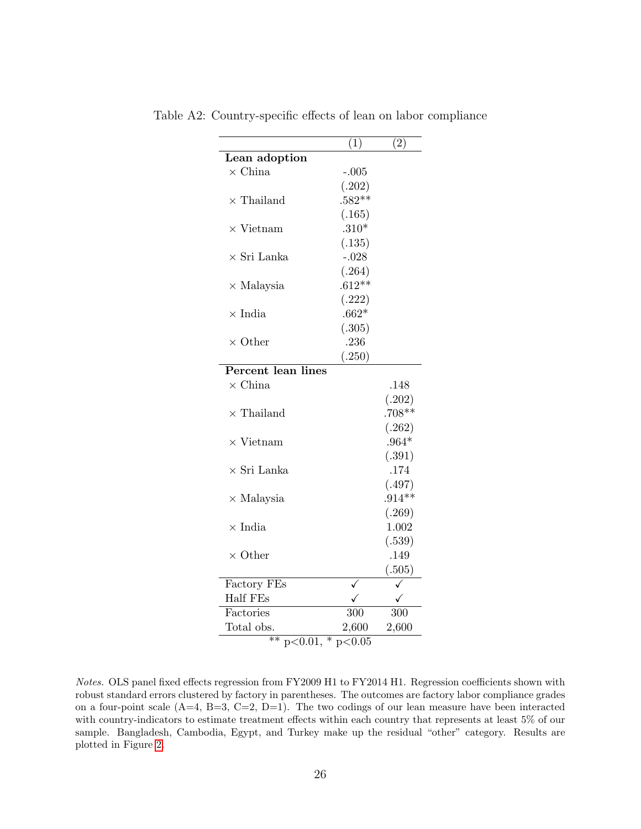|                                         | (1)             | (2)      |
|-----------------------------------------|-----------------|----------|
| Lean adoption                           |                 |          |
| $\times$ China                          | $-.005$         |          |
|                                         | (.202)          |          |
| $\times$ Thailand                       | $.582**$        |          |
|                                         | (.165)          |          |
| $\times$ Vietnam                        | $.310*$         |          |
|                                         | (.135)          |          |
| $\times$ Sri Lanka                      | $-.028$         |          |
|                                         | (.264)          |          |
| $\times$ Malaysia                       | $.612**$        |          |
|                                         | (.222)          |          |
| $\times$ India                          | $.662*$         |          |
|                                         | (.305)          |          |
| $\times$ Other                          | .236            |          |
|                                         | (.250)          |          |
| Percent lean lines                      |                 |          |
| $\times$ China                          |                 | .148     |
|                                         |                 | (.202)   |
| $\times$ Thailand                       |                 | $.708**$ |
|                                         |                 | (.262)   |
| $\times$ Vietnam                        |                 | $.964*$  |
|                                         |                 | (.391)   |
| $\times$ Sri Lanka                      |                 | .174     |
|                                         |                 | (.497)   |
| $\times$ Malaysia                       |                 | $.914**$ |
|                                         |                 | (.269)   |
| $\times$ India                          |                 | 1.002    |
|                                         |                 | (.539)   |
| $\times$ Other                          |                 | .149     |
|                                         |                 | (.505)   |
| Factory FEs                             |                 |          |
| <b>Half FEs</b>                         |                 |          |
|                                         |                 |          |
| Factories                               | 300             | 300      |
|                                         |                 |          |
| Total obs.<br>$\ast$<br>$**$<br>p<0.01, | 2,600<br>p<0.05 | 2,600    |

Table A2: Country-specific effects of lean on labor compliance

Notes. OLS panel fixed effects regression from FY2009 H1 to FY2014 H1. Regression coefficients shown with robust standard errors clustered by factory in parentheses. The outcomes are factory labor compliance grades on a four-point scale (A=4, B=3, C=2, D=1). The two codings of our lean measure have been interacted with country-indicators to estimate treatment effects within each country that represents at least 5% of our sample. Bangladesh, Cambodia, Egypt, and Turkey make up the residual "other" category. Results are plotted in Figure [2.](#page-20-0)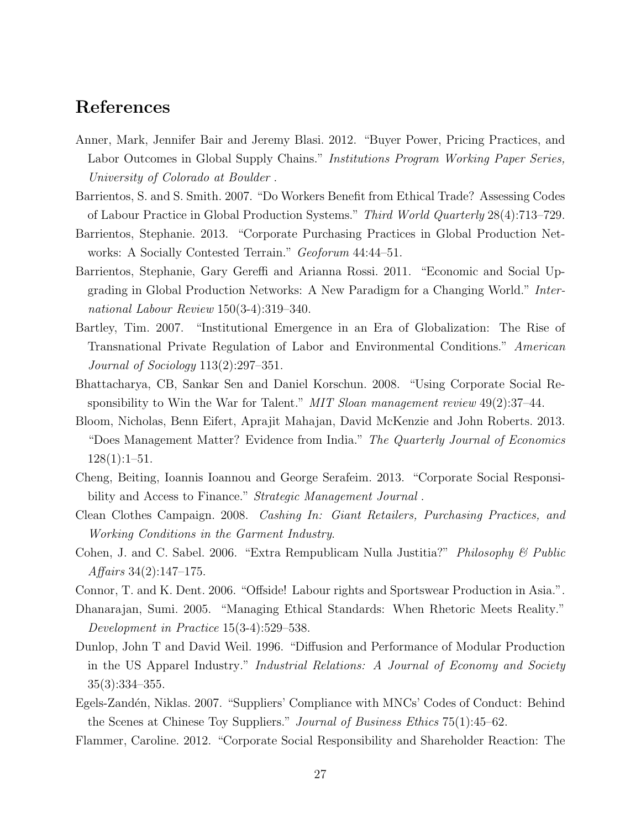# References

- <span id="page-26-10"></span>Anner, Mark, Jennifer Bair and Jeremy Blasi. 2012. "Buyer Power, Pricing Practices, and Labor Outcomes in Global Supply Chains." Institutions Program Working Paper Series, University of Colorado at Boulder .
- <span id="page-26-2"></span>Barrientos, S. and S. Smith. 2007. "Do Workers Benefit from Ethical Trade? Assessing Codes of Labour Practice in Global Production Systems." Third World Quarterly 28(4):713–729.
- <span id="page-26-9"></span>Barrientos, Stephanie. 2013. "Corporate Purchasing Practices in Global Production Networks: A Socially Contested Terrain." Geoforum 44:44–51.
- <span id="page-26-8"></span>Barrientos, Stephanie, Gary Gereffi and Arianna Rossi. 2011. "Economic and Social Upgrading in Global Production Networks: A New Paradigm for a Changing World." International Labour Review 150(3-4):319–340.
- <span id="page-26-13"></span>Bartley, Tim. 2007. "Institutional Emergence in an Era of Globalization: The Rise of Transnational Private Regulation of Labor and Environmental Conditions." American Journal of Sociology 113(2):297–351.
- <span id="page-26-1"></span>Bhattacharya, CB, Sankar Sen and Daniel Korschun. 2008. "Using Corporate Social Responsibility to Win the War for Talent." MIT Sloan management review 49(2):37–44.
- <span id="page-26-6"></span>Bloom, Nicholas, Benn Eifert, Aprajit Mahajan, David McKenzie and John Roberts. 2013. "Does Management Matter? Evidence from India." The Quarterly Journal of Economics 128(1):1–51.
- <span id="page-26-0"></span>Cheng, Beiting, Ioannis Ioannou and George Serafeim. 2013. "Corporate Social Responsibility and Access to Finance." *Strategic Management Journal*.
- <span id="page-26-14"></span>Clean Clothes Campaign. 2008. Cashing In: Giant Retailers, Purchasing Practices, and Working Conditions in the Garment Industry.
- <span id="page-26-12"></span>Cohen, J. and C. Sabel. 2006. "Extra Rempublicam Nulla Justitia?" Philosophy & Public Affairs 34(2):147–175.
- <span id="page-26-11"></span><span id="page-26-7"></span>Connor, T. and K. Dent. 2006. "Offside! Labour rights and Sportswear Production in Asia.".
- Dhanarajan, Sumi. 2005. "Managing Ethical Standards: When Rhetoric Meets Reality." Development in Practice 15(3-4):529–538.
- <span id="page-26-5"></span>Dunlop, John T and David Weil. 1996. "Diffusion and Performance of Modular Production in the US Apparel Industry." Industrial Relations: A Journal of Economy and Society 35(3):334–355.
- <span id="page-26-3"></span>Egels-Zandén, Niklas. 2007. "Suppliers' Compliance with MNCs' Codes of Conduct: Behind the Scenes at Chinese Toy Suppliers." Journal of Business Ethics 75(1):45–62.
- <span id="page-26-4"></span>Flammer, Caroline. 2012. "Corporate Social Responsibility and Shareholder Reaction: The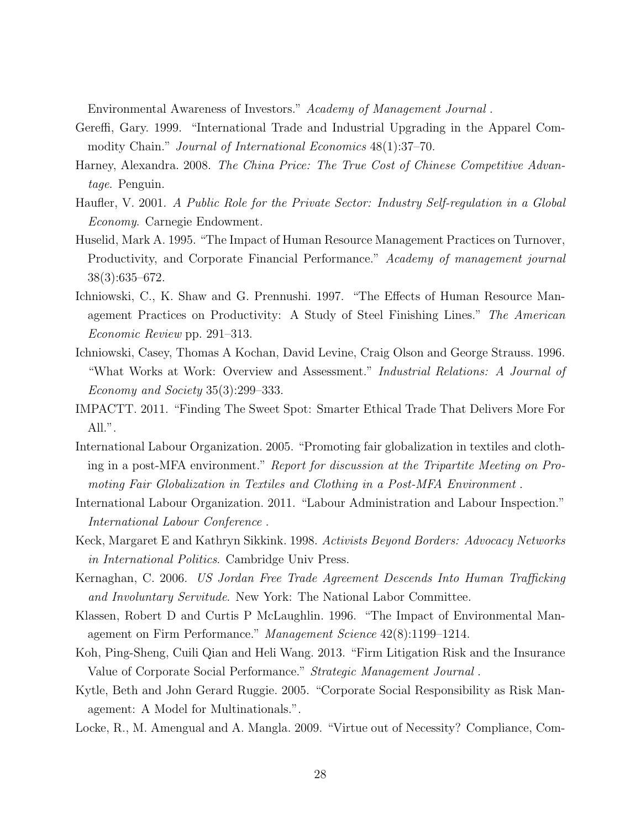Environmental Awareness of Investors." Academy of Management Journal .

- <span id="page-27-13"></span>Gereffi, Gary. 1999. "International Trade and Industrial Upgrading in the Apparel Commodity Chain." *Journal of International Economics* 48(1):37–70.
- <span id="page-27-12"></span>Harney, Alexandra. 2008. The China Price: The True Cost of Chinese Competitive Advantage. Penguin.
- <span id="page-27-11"></span>Haufler, V. 2001. A Public Role for the Private Sector: Industry Self-regulation in a Global Economy. Carnegie Endowment.
- <span id="page-27-7"></span>Huselid, Mark A. 1995. "The Impact of Human Resource Management Practices on Turnover, Productivity, and Corporate Financial Performance." Academy of management journal 38(3):635–672.
- <span id="page-27-6"></span>Ichniowski, C., K. Shaw and G. Prennushi. 1997. "The Effects of Human Resource Management Practices on Productivity: A Study of Steel Finishing Lines." The American Economic Review pp. 291–313.
- <span id="page-27-8"></span>Ichniowski, Casey, Thomas A Kochan, David Levine, Craig Olson and George Strauss. 1996. "What Works at Work: Overview and Assessment." Industrial Relations: A Journal of Economy and Society 35(3):299–333.
- <span id="page-27-4"></span>IMPACTT. 2011. "Finding The Sweet Spot: Smarter Ethical Trade That Delivers More For All.".
- <span id="page-27-3"></span>International Labour Organization. 2005. "Promoting fair globalization in textiles and clothing in a post-MFA environment." Report for discussion at the Tripartite Meeting on Promoting Fair Globalization in Textiles and Clothing in a Post-MFA Environment .
- <span id="page-27-14"></span>International Labour Organization. 2011. "Labour Administration and Labour Inspection." International Labour Conference .
- <span id="page-27-10"></span>Keck, Margaret E and Kathryn Sikkink. 1998. Activists Beyond Borders: Advocacy Networks in International Politics. Cambridge Univ Press.
- <span id="page-27-9"></span>Kernaghan, C. 2006. US Jordan Free Trade Agreement Descends Into Human Trafficking and Involuntary Servitude. New York: The National Labor Committee.
- <span id="page-27-2"></span>Klassen, Robert D and Curtis P McLaughlin. 1996. "The Impact of Environmental Management on Firm Performance." Management Science 42(8):1199–1214.
- <span id="page-27-0"></span>Koh, Ping-Sheng, Cuili Qian and Heli Wang. 2013. "Firm Litigation Risk and the Insurance Value of Corporate Social Performance." Strategic Management Journal .
- <span id="page-27-1"></span>Kytle, Beth and John Gerard Ruggie. 2005. "Corporate Social Responsibility as Risk Management: A Model for Multinationals.".
- <span id="page-27-5"></span>Locke, R., M. Amengual and A. Mangla. 2009. "Virtue out of Necessity? Compliance, Com-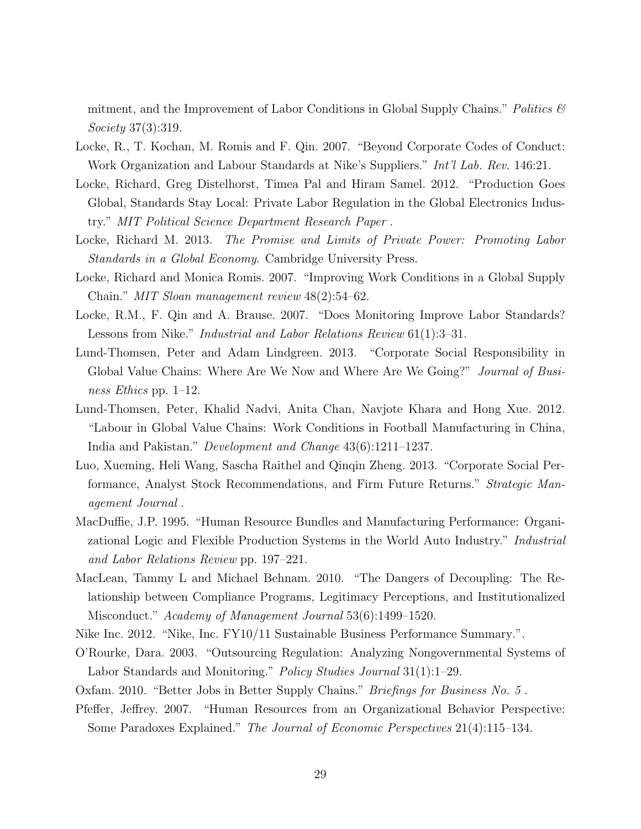mitment, and the Improvement of Labor Conditions in Global Supply Chains." Politics  $\mathcal{B}'$ Society 37(3):319.

- <span id="page-28-7"></span>Locke, R., T. Kochan, M. Romis and F. Qin. 2007. "Beyond Corporate Codes of Conduct: Work Organization and Labour Standards at Nike's Suppliers." *Int'l Lab. Rev.* 146:21.
- <span id="page-28-11"></span>Locke, Richard, Greg Distelhorst, Timea Pal and Hiram Samel. 2012. "Production Goes Global, Standards Stay Local: Private Labor Regulation in the Global Electronics Industry." MIT Political Science Department Research Paper .
- <span id="page-28-1"></span>Locke, Richard M. 2013. The Promise and Limits of Private Power: Promoting Labor Standards in a Global Economy. Cambridge University Press.
- <span id="page-28-2"></span>Locke, Richard and Monica Romis. 2007. "Improving Work Conditions in a Global Supply Chain." MIT Sloan management review 48(2):54–62.
- <span id="page-28-3"></span>Locke, R.M., F. Qin and A. Brause. 2007. "Does Monitoring Improve Labor Standards? Lessons from Nike." *Industrial and Labor Relations Review* 61(1):3–31.
- <span id="page-28-8"></span>Lund-Thomsen, Peter and Adam Lindgreen. 2013. "Corporate Social Responsibility in Global Value Chains: Where Are We Now and Where Are We Going?" *Journal of Busi*ness Ethics pp. 1–12.
- <span id="page-28-4"></span>Lund-Thomsen, Peter, Khalid Nadvi, Anita Chan, Navjote Khara and Hong Xue. 2012. "Labour in Global Value Chains: Work Conditions in Football Manufacturing in China, India and Pakistan." Development and Change 43(6):1211–1237.
- <span id="page-28-0"></span>Luo, Xueming, Heli Wang, Sascha Raithel and Qinqin Zheng. 2013. "Corporate Social Performance, Analyst Stock Recommendations, and Firm Future Returns." Strategic Management Journal .
- <span id="page-28-9"></span>MacDuffie, J.P. 1995. "Human Resource Bundles and Manufacturing Performance: Organizational Logic and Flexible Production Systems in the World Auto Industry." *Industrial* and Labor Relations Review pp. 197–221.
- <span id="page-28-5"></span>MacLean, Tammy L and Michael Behnam. 2010. "The Dangers of Decoupling: The Relationship between Compliance Programs, Legitimacy Perceptions, and Institutionalized Misconduct." Academy of Management Journal 53(6):1499–1520.
- <span id="page-28-12"></span><span id="page-28-10"></span>Nike Inc. 2012. "Nike, Inc. FY10/11 Sustainable Business Performance Summary.".
- O'Rourke, Dara. 2003. "Outsourcing Regulation: Analyzing Nongovernmental Systems of Labor Standards and Monitoring." *Policy Studies Journal* 31(1):1–29.
- <span id="page-28-13"></span><span id="page-28-6"></span>Oxfam. 2010. "Better Jobs in Better Supply Chains." Briefings for Business No. 5 .
- Pfeffer, Jeffrey. 2007. "Human Resources from an Organizational Behavior Perspective: Some Paradoxes Explained." The Journal of Economic Perspectives 21(4):115–134.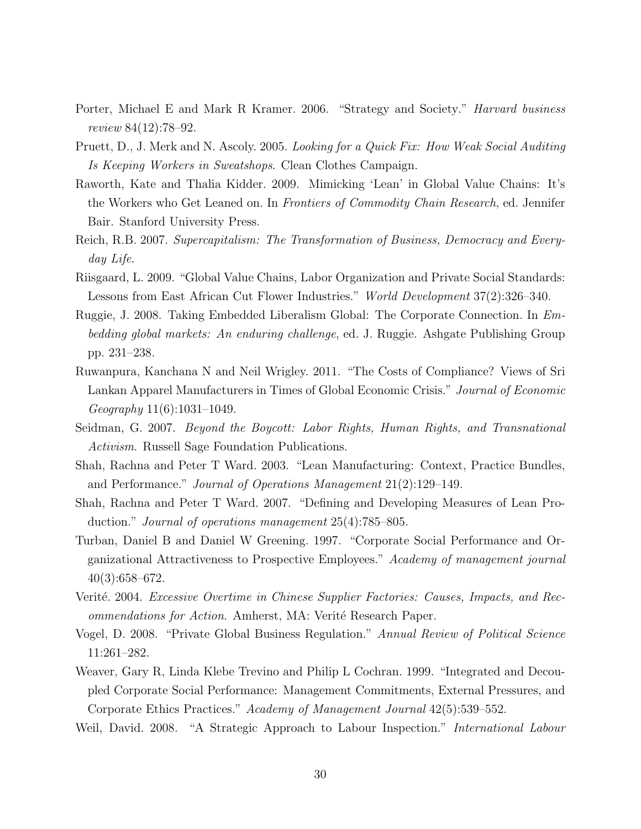- <span id="page-29-0"></span>Porter, Michael E and Mark R Kramer. 2006. "Strategy and Society." *Harvard business* review 84(12):78–92.
- <span id="page-29-6"></span>Pruett, D., J. Merk and N. Ascoly. 2005. Looking for a Quick Fix: How Weak Social Auditing Is Keeping Workers in Sweatshops. Clean Clothes Campaign.
- <span id="page-29-3"></span>Raworth, Kate and Thalia Kidder. 2009. Mimicking 'Lean' in Global Value Chains: It's the Workers who Get Leaned on. In Frontiers of Commodity Chain Research, ed. Jennifer Bair. Stanford University Press.
- <span id="page-29-9"></span>Reich, R.B. 2007. Supercapitalism: The Transformation of Business, Democracy and Everyday Life.
- <span id="page-29-4"></span>Riisgaard, L. 2009. "Global Value Chains, Labor Organization and Private Social Standards: Lessons from East African Cut Flower Industries." World Development 37(2):326–340.
- <span id="page-29-8"></span>Ruggie, J. 2008. Taking Embedded Liberalism Global: The Corporate Connection. In Embedding global markets: An enduring challenge, ed. J. Ruggie. Ashgate Publishing Group pp. 231–238.
- <span id="page-29-11"></span>Ruwanpura, Kanchana N and Neil Wrigley. 2011. "The Costs of Compliance? Views of Sri Lankan Apparel Manufacturers in Times of Global Economic Crisis." Journal of Economic Geography 11(6):1031–1049.
- <span id="page-29-7"></span>Seidman, G. 2007. Beyond the Boycott: Labor Rights, Human Rights, and Transnational Activism. Russell Sage Foundation Publications.
- <span id="page-29-13"></span>Shah, Rachna and Peter T Ward. 2003. "Lean Manufacturing: Context, Practice Bundles, and Performance." Journal of Operations Management 21(2):129–149.
- <span id="page-29-12"></span>Shah, Rachna and Peter T Ward. 2007. "Defining and Developing Measures of Lean Production." Journal of operations management 25(4):785–805.
- <span id="page-29-1"></span>Turban, Daniel B and Daniel W Greening. 1997. "Corporate Social Performance and Organizational Attractiveness to Prospective Employees." Academy of management journal 40(3):658–672.
- <span id="page-29-5"></span>Verité. 2004. Excessive Overtime in Chinese Supplier Factories: Causes, Impacts, and Recommendations for Action. Amherst, MA: Verité Research Paper.
- <span id="page-29-10"></span>Vogel, D. 2008. "Private Global Business Regulation." Annual Review of Political Science 11:261–282.
- <span id="page-29-2"></span>Weaver, Gary R, Linda Klebe Trevino and Philip L Cochran. 1999. "Integrated and Decoupled Corporate Social Performance: Management Commitments, External Pressures, and Corporate Ethics Practices." Academy of Management Journal 42(5):539–552.
- <span id="page-29-14"></span>Weil, David. 2008. "A Strategic Approach to Labour Inspection." International Labour